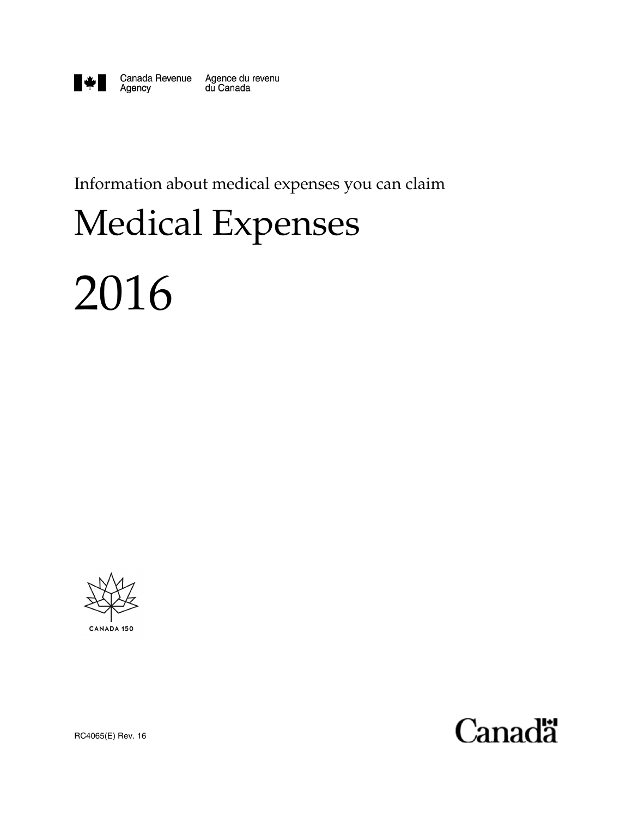

Agency

Canada Revenue Agence du revenu du Canada

Information about medical expenses you can claim

# Medical Expenses

# 2016



**Canadä** 

RC4065(E) Rev. 16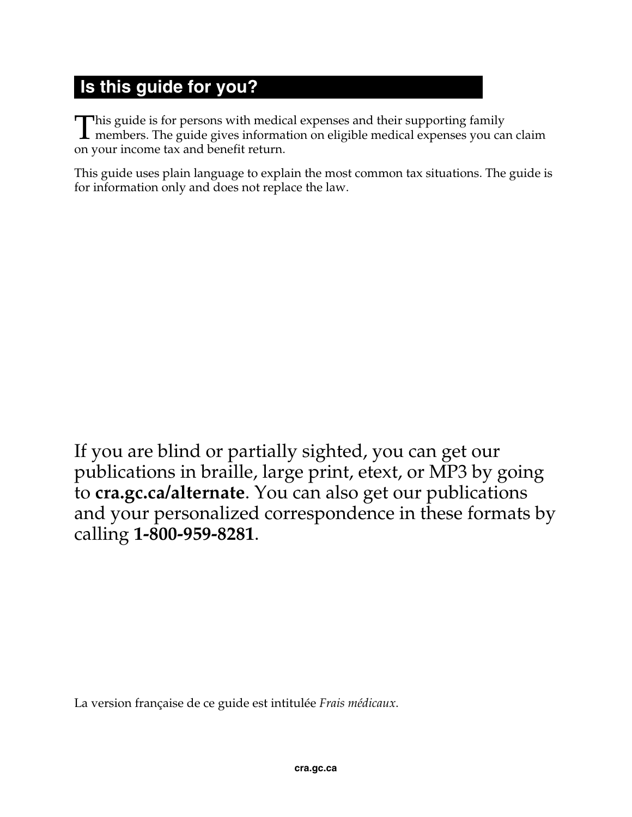## **Is this guide for you?**

his guide is for persons with medical expenses and their supporting family This guide is for persons with medical expenses and their supporting family<br>members. The guide gives information on eligible medical expenses you can claim<br>an user in some tax and benefit rature. on your income tax and benefit return.

This guide uses plain language to explain the most common tax situations. The guide is for information only and does not replace the law.

If you are blind or partially sighted, you can get our publications in braille, large print, etext, or MP3 by going to **cra.gc.ca/alternate**. You can also get our publications and your personalized correspondence in these formats by calling **1-800-959-8281**.

La version française de ce guide est intitulée *Frais médicaux*.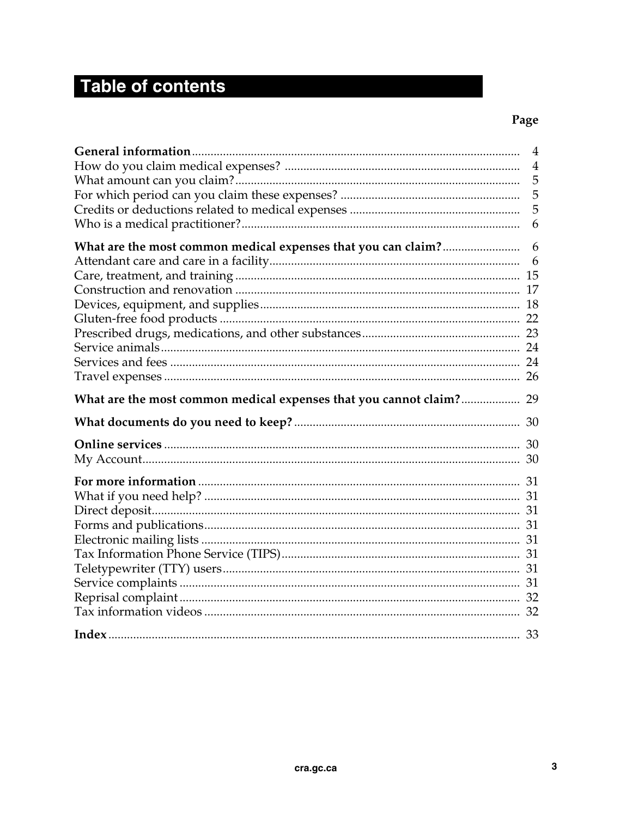## Table of contents

### Page

|                                                                     | $\overline{4}$ |
|---------------------------------------------------------------------|----------------|
|                                                                     | $\overline{4}$ |
|                                                                     | 5              |
|                                                                     | 5              |
|                                                                     | 5              |
|                                                                     | 6              |
| What are the most common medical expenses that you can claim?       | 6              |
|                                                                     | 6              |
|                                                                     |                |
|                                                                     |                |
|                                                                     |                |
|                                                                     |                |
|                                                                     |                |
|                                                                     |                |
|                                                                     |                |
|                                                                     |                |
|                                                                     |                |
| What are the most common medical expenses that you cannot claim? 29 |                |
|                                                                     |                |
|                                                                     |                |
|                                                                     |                |
|                                                                     |                |
|                                                                     |                |
|                                                                     |                |
|                                                                     |                |
|                                                                     |                |
|                                                                     |                |
|                                                                     |                |
|                                                                     |                |
|                                                                     |                |
|                                                                     |                |
|                                                                     |                |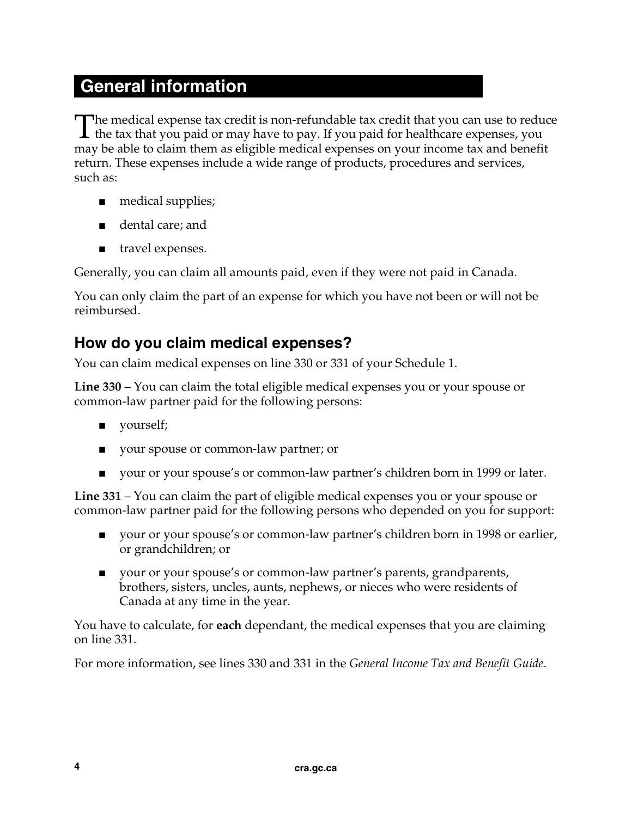## **General information**

he medical expense tax credit is non-refundable tax credit that you can use to reduce The medical expense tax credit is non-refundable tax credit that you can use to redu<br>the tax that you paid or may have to pay. If you paid for healthcare expenses, you may be able to claim them as eligible medical expenses on your income tax and benefit return. These expenses include a wide range of products, procedures and services, such as:

- medical supplies;
- dental care; and
- travel expenses.

Generally, you can claim all amounts paid, even if they were not paid in Canada.

You can only claim the part of an expense for which you have not been or will not be reimbursed.

### **How do you claim medical expenses?**

You can claim medical expenses on line 330 or 331 of your Schedule 1.

**Line 330** – You can claim the total eligible medical expenses you or your spouse or common-law partner paid for the following persons:

- yourself;
- your spouse or common-law partner; or
- your or your spouse's or common-law partner's children born in 1999 or later.

**Line 331** – You can claim the part of eligible medical expenses you or your spouse or common-law partner paid for the following persons who depended on you for support:

- your or your spouse's or common-law partner's children born in 1998 or earlier, or grandchildren; or
- your or your spouse's or common-law partner's parents, grandparents, brothers, sisters, uncles, aunts, nephews, or nieces who were residents of Canada at any time in the year.

You have to calculate, for **each** dependant, the medical expenses that you are claiming on line 331.

For more information, see lines 330 and 331 in the *General Income Tax and Benefit Guide*.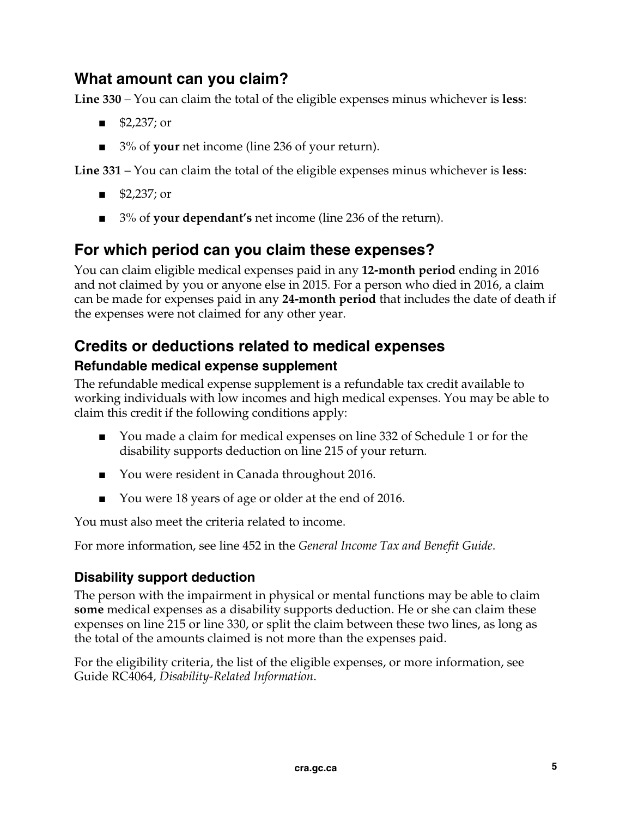## **What amount can you claim?**

**Line 330** – You can claim the total of the eligible expenses minus whichever is **less**:

- \$2,237; or
- 3% of **your** net income (line 236 of your return).

**Line 331** – You can claim the total of the eligible expenses minus whichever is **less**:

- \$2,237; or
- 3<sup>%</sup> of **your dependant's** net income (line 236 of the return).

## **For which period can you claim these expenses?**

You can claim eligible medical expenses paid in any **12-month period** ending in 2016 and not claimed by you or anyone else in 2015. For a person who died in 2016, a claim can be made for expenses paid in any **24-month period** that includes the date of death if the expenses were not claimed for any other year.

## **Credits or deductions related to medical expenses**

#### **Refundable medical expense supplement**

The refundable medical expense supplement is a refundable tax credit available to working individuals with low incomes and high medical expenses. You may be able to claim this credit if the following conditions apply:

- You made a claim for medical expenses on line 332 of Schedule 1 or for the disability supports deduction on line 215 of your return.
- You were resident in Canada throughout 2016.
- You were 18 years of age or older at the end of 2016.

You must also meet the criteria related to income.

For more information, see line 452 in the *General Income Tax and Benefit Guide*.

#### **Disability support deduction**

The person with the impairment in physical or mental functions may be able to claim **some** medical expenses as a disability supports deduction. He or she can claim these expenses on line 215 or line 330, or split the claim between these two lines, as long as the total of the amounts claimed is not more than the expenses paid.

For the eligibility criteria, the list of the eligible expenses, or more information, see Guide RC4064*, Disability-Related Information*.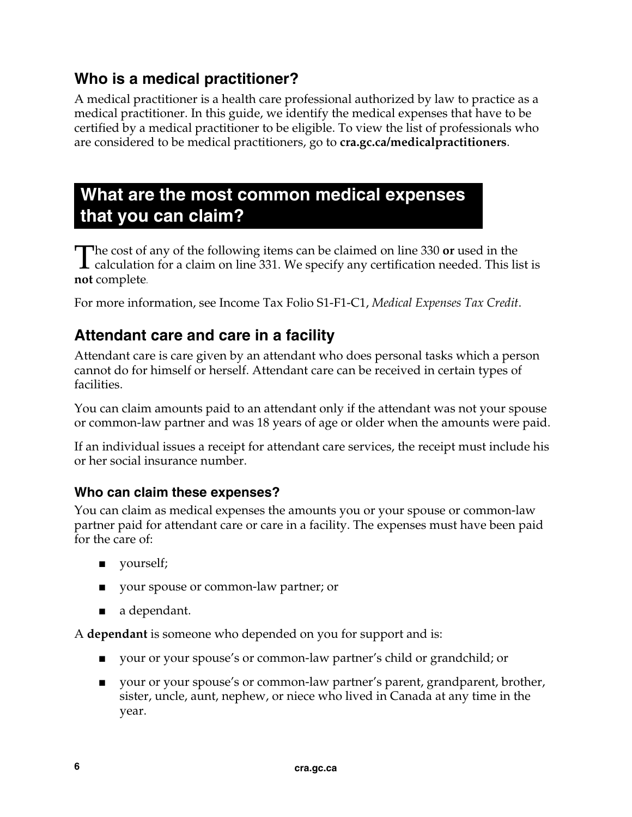## **Who is a medical practitioner?**

A medical practitioner is a health care professional authorized by law to practice as a medical practitioner. In this guide, we identify the medical expenses that have to be certified by a medical practitioner to be eligible. To view the list of professionals who are considered to be medical practitioners, go to **cra.gc.ca/medicalpractitioners**.

## **What are the most common medical expenses that you can claim?**

he cost of any of the following items can be claimed on line 330 **or** used in the The cost of any of the following items can be claimed on line 330 or used in the calculation for a claim on line 331. We specify any certification needed. This list is **not** complete.

For more information, see Income Tax Folio S1-F1-C1, *Medical Expenses Tax Credit*.

## **Attendant care and care in a facility**

Attendant care is care given by an attendant who does personal tasks which a person cannot do for himself or herself. Attendant care can be received in certain types of facilities.

You can claim amounts paid to an attendant only if the attendant was not your spouse or common-law partner and was 18 years of age or older when the amounts were paid.

If an individual issues a receipt for attendant care services, the receipt must include his or her social insurance number.

#### **Who can claim these expenses?**

You can claim as medical expenses the amounts you or your spouse or common-law partner paid for attendant care or care in a facility. The expenses must have been paid for the care of:

- yourself;
- your spouse or common-law partner; or
- a dependant.

A **dependant** is someone who depended on you for support and is:

- your or your spouse's or common-law partner's child or grandchild; or
- your or your spouse's or common-law partner's parent, grandparent, brother, sister, uncle, aunt, nephew, or niece who lived in Canada at any time in the year.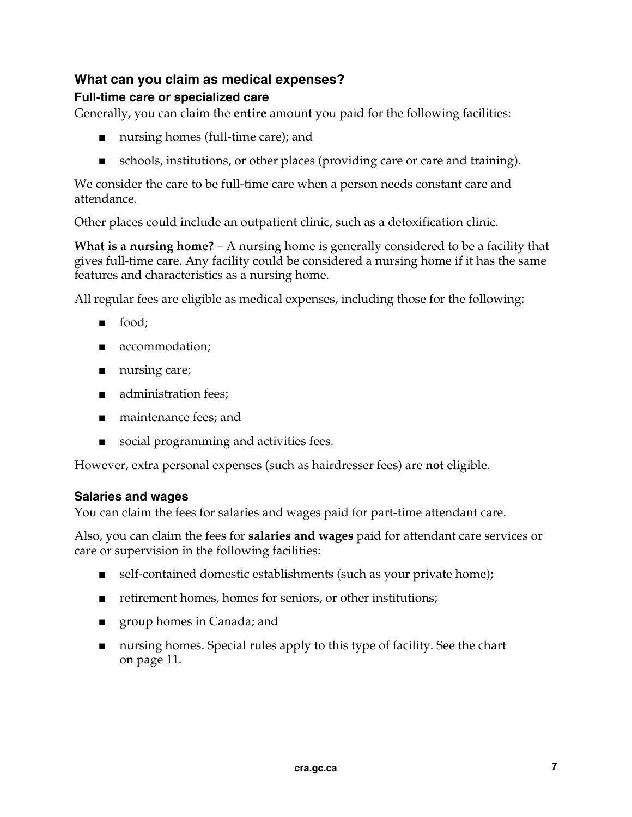#### **What can you claim as medical expenses?**

#### **Full-time care or specialized care**

Generally, you can claim the **entire** amount you paid for the following facilities:

- nursing homes (full-time care); and
- schools, institutions, or other places (providing care or care and training).

We consider the care to be full-time care when a person needs constant care and attendance.

Other places could include an outpatient clinic, such as a detoxification clinic.

**What is a nursing home?** – A nursing home is generally considered to be a facility that gives full-time care. Any facility could be considered a nursing home if it has the same features and characteristics as a nursing home.

All regular fees are eligible as medical expenses, including those for the following:

- food;
- accommodation;
- nursing care;
- administration fees;
- maintenance fees: and
- social programming and activities fees.

However, extra personal expenses (such as hairdresser fees) are **not** eligible.

#### **Salaries and wages**

You can claim the fees for salaries and wages paid for part-time attendant care.

Also, you can claim the fees for **salaries and wages** paid for attendant care services or care or supervision in the following facilities:

- self-contained domestic establishments (such as your private home);
- retirement homes, homes for seniors, or other institutions;
- group homes in Canada; and
- nursing homes. Special rules apply to this type of facility. See the chart on page 11.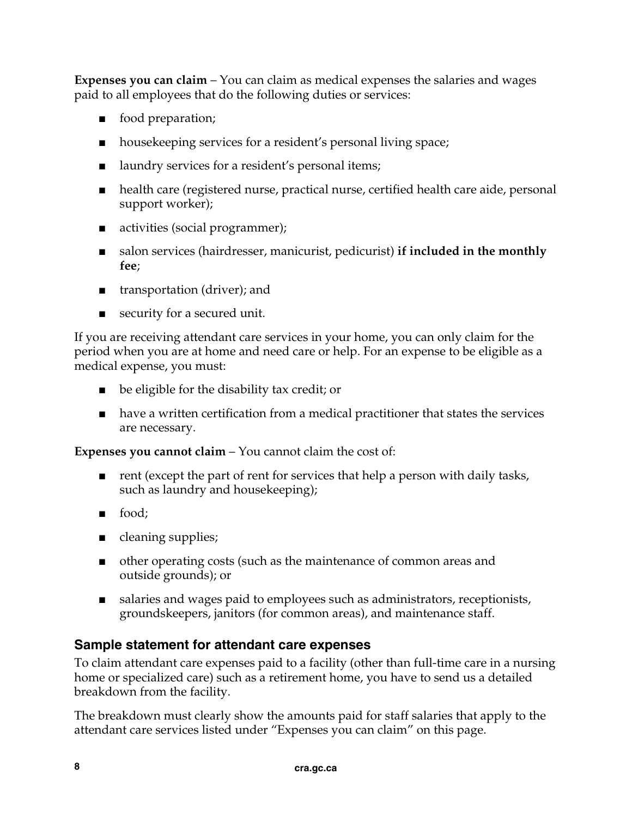**Expenses you can claim** – You can claim as medical expenses the salaries and wages paid to all employees that do the following duties or services:

- food preparation;
- housekeeping services for a resident's personal living space;
- laundry services for a resident's personal items;
- health care (registered nurse, practical nurse, certified health care aide, personal support worker);
- activities (social programmer);
- salon services (hairdresser, manicurist, pedicurist) **if included in the monthly fee**;
- transportation (driver); and
- security for a secured unit.

If you are receiving attendant care services in your home, you can only claim for the period when you are at home and need care or help. For an expense to be eligible as a medical expense, you must:

- be eligible for the disability tax credit; or
- have a written certification from a medical practitioner that states the services are necessary.

**Expenses you cannot claim** – You cannot claim the cost of:

- rent (except the part of rent for services that help a person with daily tasks, such as laundry and housekeeping);
- food;
- cleaning supplies;
- other operating costs (such as the maintenance of common areas and outside grounds); or
- salaries and wages paid to employees such as administrators, receptionists, groundskeepers, janitors (for common areas), and maintenance staff.

#### **Sample statement for attendant care expenses**

To claim attendant care expenses paid to a facility (other than full-time care in a nursing home or specialized care) such as a retirement home, you have to send us a detailed breakdown from the facility.

The breakdown must clearly show the amounts paid for staff salaries that apply to the attendant care services listed under "Expenses you can claim" on this page.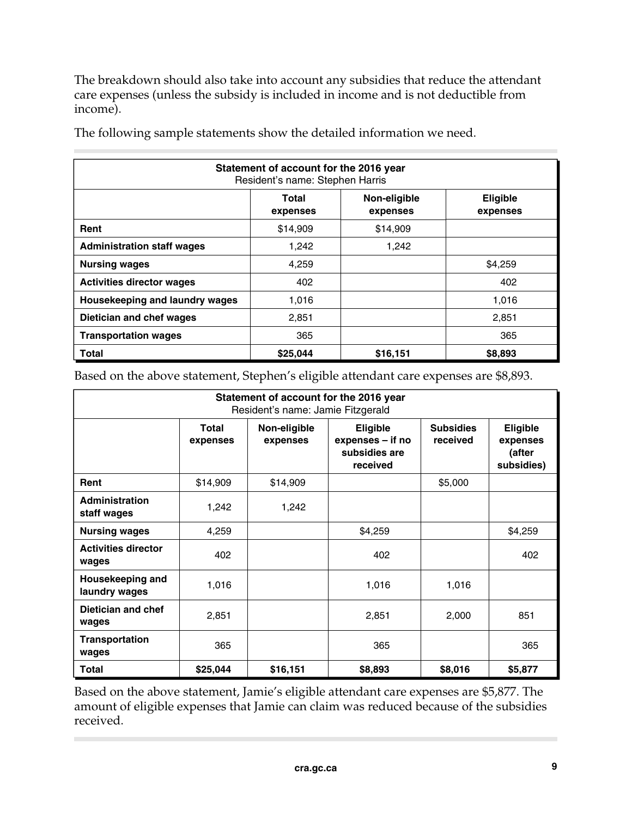The breakdown should also take into account any subsidies that reduce the attendant care expenses (unless the subsidy is included in income and is not deductible from income).

| Statement of account for the 2016 year<br>Resident's name: Stephen Harris |                   |                          |                      |  |  |  |
|---------------------------------------------------------------------------|-------------------|--------------------------|----------------------|--|--|--|
|                                                                           | Total<br>expenses | Non-eligible<br>expenses | Eligible<br>expenses |  |  |  |
| Rent                                                                      | \$14,909          | \$14,909                 |                      |  |  |  |
| <b>Administration staff wages</b>                                         | 1,242             | 1,242                    |                      |  |  |  |
| <b>Nursing wages</b>                                                      | 4,259             |                          | \$4,259              |  |  |  |
| <b>Activities director wages</b>                                          | 402               |                          | 402                  |  |  |  |
| Housekeeping and laundry wages                                            | 1,016             |                          | 1,016                |  |  |  |
| Dietician and chef wages                                                  | 2,851             |                          | 2,851                |  |  |  |
| <b>Transportation wages</b>                                               | 365               |                          | 365                  |  |  |  |
| <b>Total</b>                                                              | \$25,044          | \$16,151                 | \$8,893              |  |  |  |

The following sample statements show the detailed information we need.

Based on the above statement, Stephen's eligible attendant care expenses are \$8,893.

| Statement of account for the 2016 year<br>Resident's name: Jamie Fitzgerald |                   |                          |                                                           |                              |                                                     |  |  |
|-----------------------------------------------------------------------------|-------------------|--------------------------|-----------------------------------------------------------|------------------------------|-----------------------------------------------------|--|--|
|                                                                             | Total<br>expenses | Non-eligible<br>expenses | Eligible<br>expenses - if no<br>subsidies are<br>received | <b>Subsidies</b><br>received | <b>Eligible</b><br>expenses<br>(after<br>subsidies) |  |  |
| Rent                                                                        | \$14,909          | \$14,909                 |                                                           | \$5,000                      |                                                     |  |  |
| Administration<br>staff wages                                               | 1,242             | 1,242                    |                                                           |                              |                                                     |  |  |
| <b>Nursing wages</b>                                                        | 4,259             |                          | \$4,259                                                   |                              | \$4,259                                             |  |  |
| <b>Activities director</b><br>wages                                         | 402               |                          | 402                                                       |                              | 402                                                 |  |  |
| Housekeeping and<br>laundry wages                                           | 1,016             |                          | 1,016                                                     | 1,016                        |                                                     |  |  |
| Dietician and chef<br>wages                                                 | 2,851             |                          | 2,851                                                     | 2,000                        | 851                                                 |  |  |
| <b>Transportation</b><br>wages                                              | 365               |                          | 365                                                       |                              | 365                                                 |  |  |
| <b>Total</b>                                                                | \$25,044          | \$16,151                 | \$8,893                                                   | \$8,016                      | \$5,877                                             |  |  |

Based on the above statement, Jamie's eligible attendant care expenses are \$5,877. The amount of eligible expenses that Jamie can claim was reduced because of the subsidies received.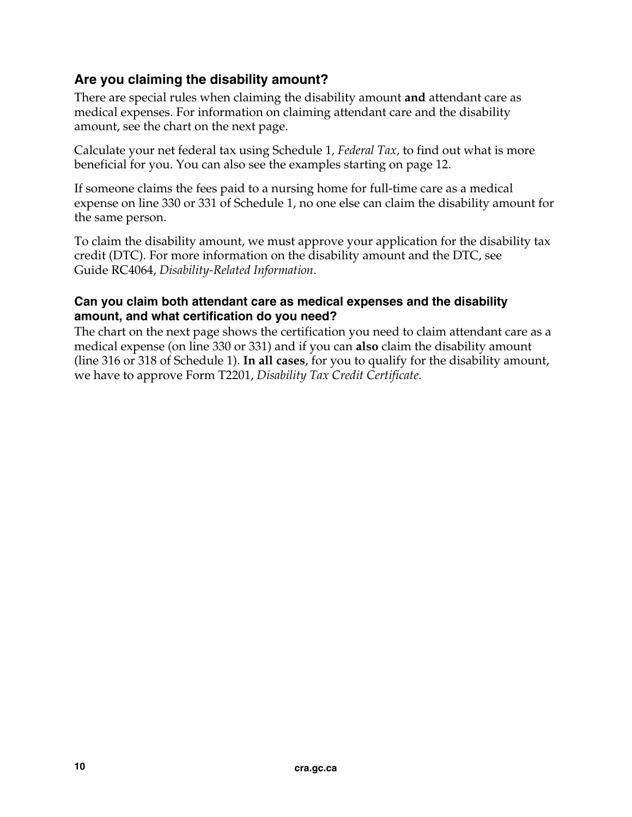#### **Are you claiming the disability amount?**

There are special rules when claiming the disability amount **and** attendant care as medical expenses. For information on claiming attendant care and the disability amount, see the chart on the next page.

Calculate your net federal tax using Schedule 1*, Federal Tax,* to find out what is more beneficial for you. You can also see the examples starting on page 12.

If someone claims the fees paid to a nursing home for full-time care as a medical expense on line 330 or 331 of Schedule 1, no one else can claim the disability amount for the same person.

To claim the disability amount, we must approve your application for the disability tax credit (DTC). For more information on the disability amount and the DTC, see Guide RC4064, *Disability-Related Information*.

#### **Can you claim both attendant care as medical expenses and the disability amount, and what certification do you need?**

The chart on the next page shows the certification you need to claim attendant care as a medical expense (on line 330 or 331) and if you can **also** claim the disability amount (line 316 or 318 of Schedule 1). **In all cases**, for you to qualify for the disability amount, we have to approve Form T2201, *Disability Tax Credit Certificate*.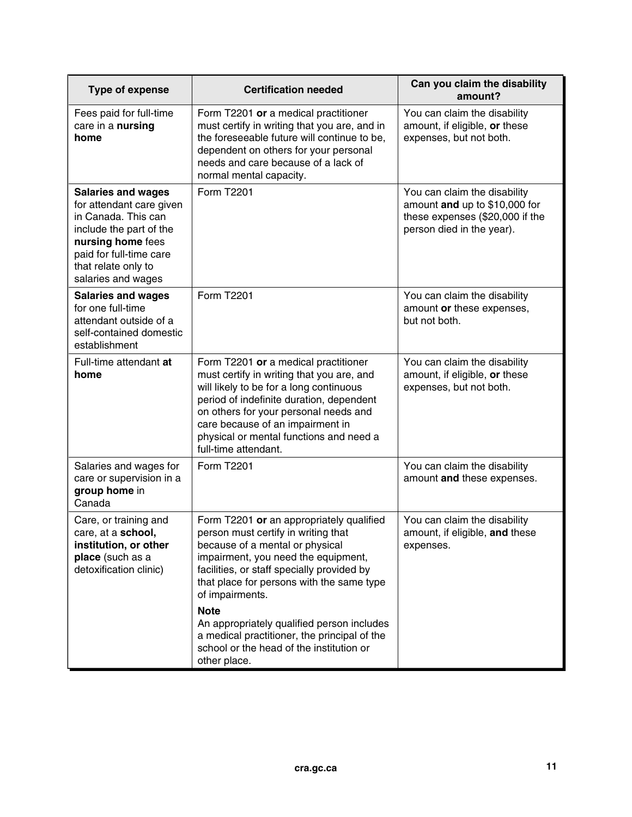| Type of expense                                                                                                                                                                                      | <b>Certification needed</b>                                                                                                                                                                                                                                                                                              | Can you claim the disability<br>amount?                                                                                       |
|------------------------------------------------------------------------------------------------------------------------------------------------------------------------------------------------------|--------------------------------------------------------------------------------------------------------------------------------------------------------------------------------------------------------------------------------------------------------------------------------------------------------------------------|-------------------------------------------------------------------------------------------------------------------------------|
| Fees paid for full-time<br>care in a nursing<br>home                                                                                                                                                 | Form T2201 or a medical practitioner<br>must certify in writing that you are, and in<br>the foreseeable future will continue to be,<br>dependent on others for your personal<br>needs and care because of a lack of<br>normal mental capacity.                                                                           | You can claim the disability<br>amount, if eligible, or these<br>expenses, but not both.                                      |
| <b>Salaries and wages</b><br>for attendant care given<br>in Canada. This can<br>include the part of the<br>nursing home fees<br>paid for full-time care<br>that relate only to<br>salaries and wages | Form T2201                                                                                                                                                                                                                                                                                                               | You can claim the disability<br>amount and up to \$10,000 for<br>these expenses (\$20,000 if the<br>person died in the year). |
| <b>Salaries and wages</b><br>for one full-time<br>attendant outside of a<br>self-contained domestic<br>establishment                                                                                 | Form T2201                                                                                                                                                                                                                                                                                                               | You can claim the disability<br>amount or these expenses,<br>but not both.                                                    |
| Full-time attendant at<br>home                                                                                                                                                                       | Form T2201 or a medical practitioner<br>must certify in writing that you are, and<br>will likely to be for a long continuous<br>period of indefinite duration, dependent<br>on others for your personal needs and<br>care because of an impairment in<br>physical or mental functions and need a<br>full-time attendant. | You can claim the disability<br>amount, if eligible, or these<br>expenses, but not both.                                      |
| Salaries and wages for<br>care or supervision in a<br>group home in<br>Canada                                                                                                                        | Form T2201                                                                                                                                                                                                                                                                                                               | You can claim the disability<br>amount and these expenses.                                                                    |
| Care, or training and<br>care, at a school,<br>institution, or other<br>place (such as a<br>detoxification clinic)                                                                                   | Form T2201 or an appropriately qualified<br>person must certify in writing that<br>because of a mental or physical<br>impairment, you need the equipment,<br>facilities, or staff specially provided by<br>that place for persons with the same type<br>of impairments.                                                  | You can claim the disability<br>amount, if eligible, and these<br>expenses.                                                   |
|                                                                                                                                                                                                      | <b>Note</b><br>An appropriately qualified person includes<br>a medical practitioner, the principal of the<br>school or the head of the institution or<br>other place.                                                                                                                                                    |                                                                                                                               |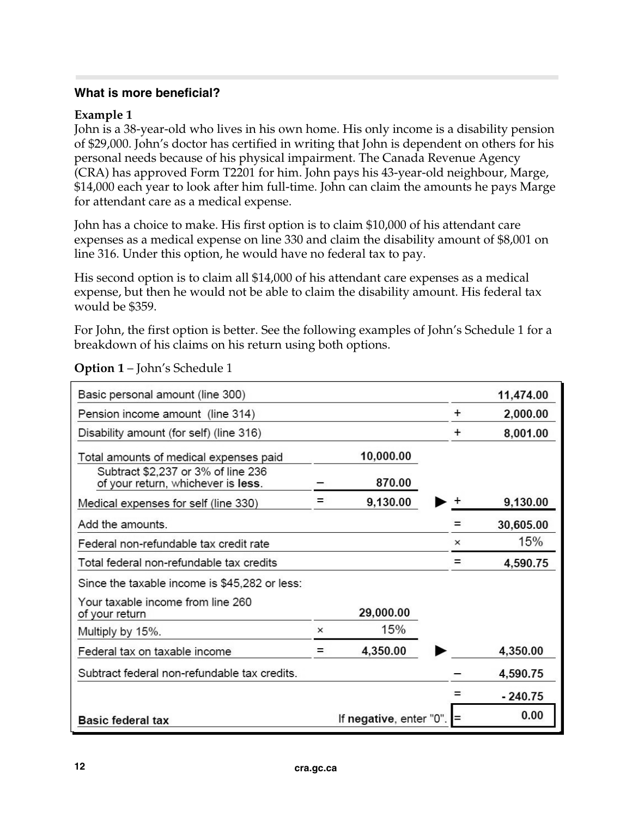#### **What is more beneficial?**

#### **Example 1**

John is a 38-year-old who lives in his own home. His only income is a disability pension of \$29,000. John's doctor has certified in writing that John is dependent on others for his personal needs because of his physical impairment. The Canada Revenue Agency (CRA) has approved Form T2201 for him. John pays his 43-year-old neighbour, Marge, \$14,000 each year to look after him full-time. John can claim the amounts he pays Marge for attendant care as a medical expense.

John has a choice to make. His first option is to claim \$10,000 of his attendant care expenses as a medical expense on line 330 and claim the disability amount of \$8,001 on line 316. Under this option, he would have no federal tax to pay.

His second option is to claim all \$14,000 of his attendant care expenses as a medical expense, but then he would not be able to claim the disability amount. His federal tax would be \$359.

For John, the first option is better. See the following examples of John's Schedule 1 for a breakdown of his claims on his return using both options.

| Basic personal amount (line 300)                                         |          |                         |           | 11,474.00 |
|--------------------------------------------------------------------------|----------|-------------------------|-----------|-----------|
| Pension income amount (line 314)                                         |          |                         | $\pm$     | 2,000.00  |
| Disability amount (for self) (line 316)                                  |          |                         | $\ddot{}$ | 8,001.00  |
| Total amounts of medical expenses paid                                   |          | 10,000.00               |           |           |
| Subtract \$2,237 or 3% of line 236<br>of your return, whichever is less. |          | 870.00                  |           |           |
| Medical expenses for self (line 330)                                     |          | 9,130.00                |           | 9,130.00  |
| Add the amounts.                                                         |          |                         |           | 30,605.00 |
| Federal non-refundable tax credit rate                                   |          |                         | $\times$  | 15%       |
| Total federal non-refundable tax credits                                 |          |                         | =         | 4,590.75  |
| Since the taxable income is \$45,282 or less:                            |          |                         |           |           |
| Your taxable income from line 260<br>of your return                      |          | 29,000.00               |           |           |
| Multiply by 15%.                                                         | $\times$ | 15%                     |           |           |
| Federal tax on taxable income                                            | =        | 4,350.00                |           | 4,350.00  |
| Subtract federal non-refundable tax credits.                             |          |                         |           | 4,590.75  |
|                                                                          |          |                         |           | $-240.75$ |
| <b>Basic federal tax</b>                                                 |          | If negative, enter "0". | $=$       | 0.00      |

**Option 1** – John's Schedule 1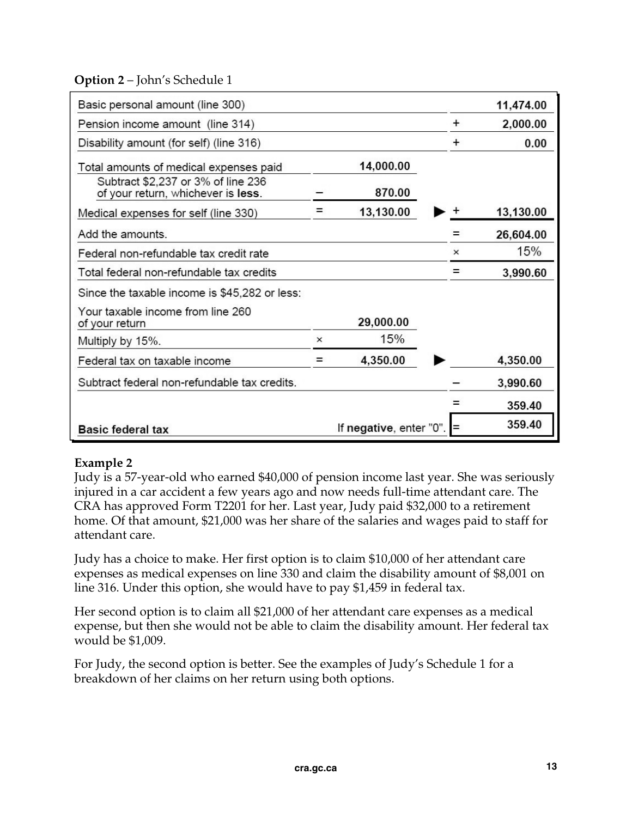#### **Option 2** – John's Schedule 1

| Basic personal amount (line 300)                                         |          |                         |           | 11,474.00 |
|--------------------------------------------------------------------------|----------|-------------------------|-----------|-----------|
| Pension income amount (line 314)                                         |          |                         | $\ddot{}$ | 2,000.00  |
| Disability amount (for self) (line 316)                                  |          |                         | $\pm$     | 0.00      |
| Total amounts of medical expenses paid                                   |          | 14,000.00               |           |           |
| Subtract \$2,237 or 3% of line 236<br>of your return, whichever is less. |          | 870.00                  |           |           |
| Medical expenses for self (line 330)                                     |          | 13,130.00               |           | 13,130.00 |
| Add the amounts.                                                         |          |                         |           | 26,604.00 |
| Federal non-refundable tax credit rate                                   |          |                         | $\times$  | 15%       |
| Total federal non-refundable tax credits                                 |          |                         |           | 3,990.60  |
| Since the taxable income is \$45,282 or less:                            |          |                         |           |           |
| Your taxable income from line 260<br>of your return                      |          | 29,000.00               |           |           |
| Multiply by 15%.                                                         | $\times$ | 15%                     |           |           |
| Federal tax on taxable income                                            |          | 4,350.00                |           | 4,350.00  |
| Subtract federal non-refundable tax credits.                             |          |                         |           | 3,990.60  |
|                                                                          |          |                         |           | 359.40    |
| <b>Basic federal tax</b>                                                 |          | If negative, enter "0". |           | 359.40    |

#### **Example 2**

Judy is a 57-year-old who earned \$40,000 of pension income last year. She was seriously injured in a car accident a few years ago and now needs full-time attendant care. The CRA has approved Form T2201 for her. Last year, Judy paid \$32,000 to a retirement home. Of that amount, \$21,000 was her share of the salaries and wages paid to staff for attendant care.

Judy has a choice to make. Her first option is to claim \$10,000 of her attendant care expenses as medical expenses on line 330 and claim the disability amount of \$8,001 on line 316. Under this option, she would have to pay \$1,459 in federal tax.

Her second option is to claim all \$21,000 of her attendant care expenses as a medical expense, but then she would not be able to claim the disability amount. Her federal tax would be \$1,009.

For Judy, the second option is better. See the examples of Judy's Schedule 1 for a breakdown of her claims on her return using both options.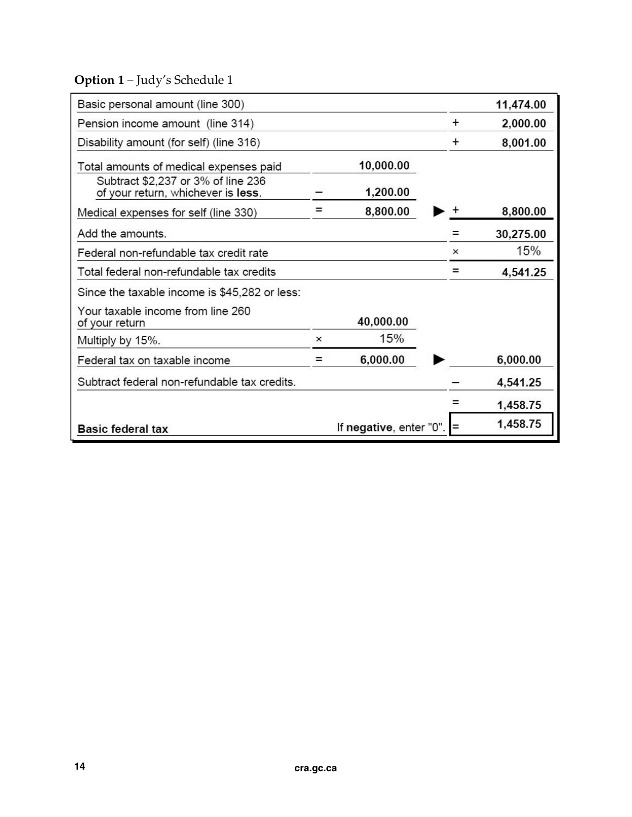## **Option 1** – Judy's Schedule 1

| Basic personal amount (line 300)                                         |          |                         |           | 11,474.00 |
|--------------------------------------------------------------------------|----------|-------------------------|-----------|-----------|
| Pension income amount (line 314)                                         |          |                         | $\ddot{}$ | 2,000.00  |
| Disability amount (for self) (line 316)                                  |          |                         | $\pm$     | 8,001.00  |
| Total amounts of medical expenses paid                                   |          | 10,000.00               |           |           |
| Subtract \$2,237 or 3% of line 236<br>of your return, whichever is less. |          | 1,200.00                |           |           |
| Medical expenses for self (line 330)                                     |          | 8,800.00                |           | 8,800.00  |
| Add the amounts.                                                         |          |                         |           | 30,275.00 |
| Federal non-refundable tax credit rate                                   |          |                         | $\times$  | 15%       |
| Total federal non-refundable tax credits                                 |          |                         | =         | 4,541.25  |
| Since the taxable income is \$45,282 or less:                            |          |                         |           |           |
| Your taxable income from line 260<br>of your return                      |          | 40,000.00               |           |           |
| Multiply by 15%.                                                         | $\times$ | 15%                     |           |           |
| Federal tax on taxable income                                            | =        | 6,000.00                |           | 6,000.00  |
| Subtract federal non-refundable tax credits.                             |          |                         |           | 4,541.25  |
|                                                                          |          |                         |           | 1,458.75  |
| <b>Basic federal tax</b>                                                 |          | If negative, enter "0". | $=$       | 1,458.75  |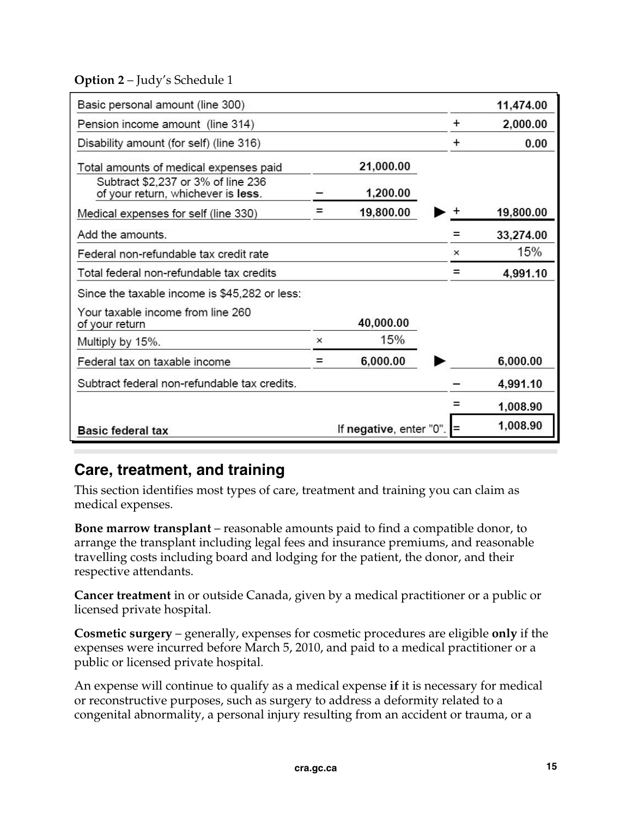**Option 2** – Judy's Schedule 1

| Basic personal amount (line 300)                                         |          |                         |           | 11,474.00 |
|--------------------------------------------------------------------------|----------|-------------------------|-----------|-----------|
| Pension income amount (line 314)                                         |          |                         | ÷         | 2,000.00  |
| Disability amount (for self) (line 316)                                  |          |                         | $\ddot{}$ | 0.00      |
| Total amounts of medical expenses paid                                   |          | 21,000.00               |           |           |
| Subtract \$2,237 or 3% of line 236<br>of your return, whichever is less. |          | 1,200.00                |           |           |
| Medical expenses for self (line 330)                                     |          | 19,800.00               |           | 19,800.00 |
| Add the amounts.                                                         |          |                         |           | 33,274.00 |
| Federal non-refundable tax credit rate                                   |          |                         | $\times$  | 15%       |
| Total federal non-refundable tax credits                                 |          |                         |           | 4,991.10  |
| Since the taxable income is \$45,282 or less:                            |          |                         |           |           |
| Your taxable income from line 260<br>of your return                      |          | 40,000.00               |           |           |
| Multiply by 15%.                                                         | $\times$ | 15%                     |           |           |
| Federal tax on taxable income                                            | =        | 6,000.00                |           | 6,000.00  |
| Subtract federal non-refundable tax credits.                             |          |                         |           | 4,991.10  |
|                                                                          |          |                         |           | 1,008.90  |
| <b>Basic federal tax</b>                                                 |          | If negative, enter "0". |           | 1,008.90  |
|                                                                          |          |                         |           |           |

## **Care, treatment, and training**

This section identifies most types of care, treatment and training you can claim as medical expenses.

**Bone marrow transplant** – reasonable amounts paid to find a compatible donor, to arrange the transplant including legal fees and insurance premiums, and reasonable travelling costs including board and lodging for the patient, the donor, and their respective attendants.

**Cancer treatment** in or outside Canada, given by a medical practitioner or a public or licensed private hospital.

**Cosmetic surgery** – generally, expenses for cosmetic procedures are eligible **only** if the expenses were incurred before March 5, 2010, and paid to a medical practitioner or a public or licensed private hospital.

An expense will continue to qualify as a medical expense **if** it is necessary for medical or reconstructive purposes, such as surgery to address a deformity related to a congenital abnormality, a personal injury resulting from an accident or trauma, or a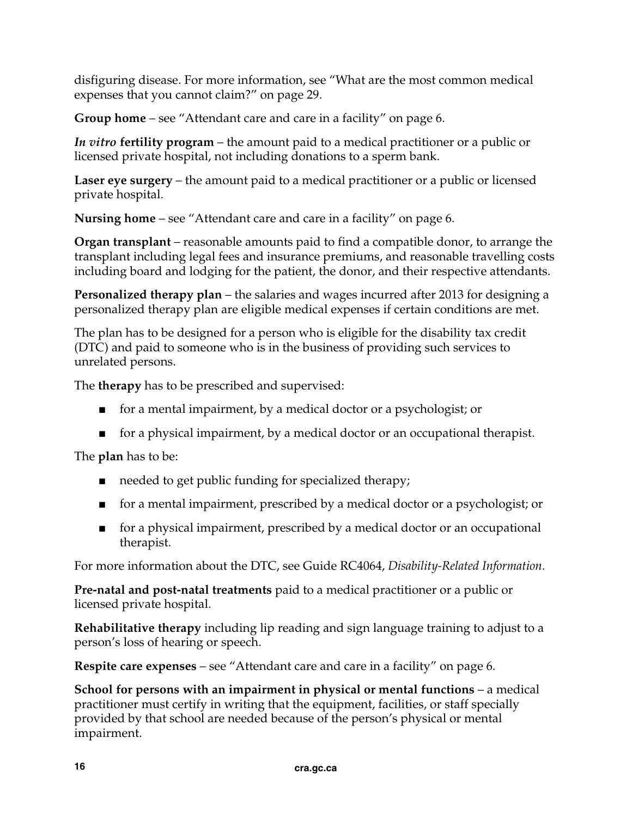disfiguring disease. For more information, see "What are the most common medical expenses that you cannot claim?" on page 29.

**Group home** – see "Attendant care and care in a facility" on page 6.

*In vitro* **fertility program** – the amount paid to a medical practitioner or a public or licensed private hospital, not including donations to a sperm bank.

**Laser eye surgery** – the amount paid to a medical practitioner or a public or licensed private hospital.

**Nursing home** – see "Attendant care and care in a facility" on page 6.

**Organ transplant** – reasonable amounts paid to find a compatible donor, to arrange the transplant including legal fees and insurance premiums, and reasonable travelling costs including board and lodging for the patient, the donor, and their respective attendants.

**Personalized therapy plan** – the salaries and wages incurred after 2013 for designing a personalized therapy plan are eligible medical expenses if certain conditions are met.

The plan has to be designed for a person who is eligible for the disability tax credit (DTC) and paid to someone who is in the business of providing such services to unrelated persons.

The **therapy** has to be prescribed and supervised:

- for a mental impairment, by a medical doctor or a psychologist; or
- for a physical impairment, by a medical doctor or an occupational therapist.

The **plan** has to be:

- needed to get public funding for specialized therapy;
- for a mental impairment, prescribed by a medical doctor or a psychologist; or
- for a physical impairment, prescribed by a medical doctor or an occupational therapist.

For more information about the DTC, see Guide RC4064, *Disability-Related Information*.

**Pre-natal and post-natal treatments** paid to a medical practitioner or a public or licensed private hospital.

**Rehabilitative therapy** including lip reading and sign language training to adjust to a person's loss of hearing or speech.

**Respite care expenses** – see "Attendant care and care in a facility" on page 6.

**School for persons with an impairment in physical or mental functions** – a medical practitioner must certify in writing that the equipment, facilities, or staff specially provided by that school are needed because of the person's physical or mental impairment.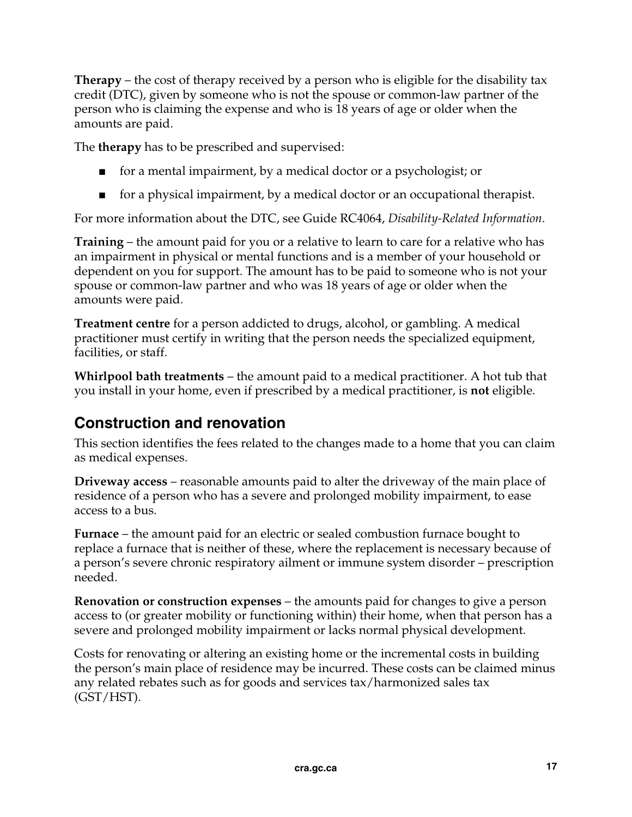**Therapy** – the cost of therapy received by a person who is eligible for the disability tax credit (DTC), given by someone who is not the spouse or common-law partner of the person who is claiming the expense and who is 18 years of age or older when the amounts are paid.

The **therapy** has to be prescribed and supervised:

- for a mental impairment, by a medical doctor or a psychologist; or
- for a physical impairment, by a medical doctor or an occupational therapist.

For more information about the DTC, see Guide RC4064, *Disability-Related Information*.

**Training** – the amount paid for you or a relative to learn to care for a relative who has an impairment in physical or mental functions and is a member of your household or dependent on you for support. The amount has to be paid to someone who is not your spouse or common-law partner and who was 18 years of age or older when the amounts were paid.

**Treatment centre** for a person addicted to drugs, alcohol, or gambling. A medical practitioner must certify in writing that the person needs the specialized equipment, facilities, or staff.

**Whirlpool bath treatments** – the amount paid to a medical practitioner. A hot tub that you install in your home, even if prescribed by a medical practitioner, is **not** eligible.

#### **Construction and renovation**

This section identifies the fees related to the changes made to a home that you can claim as medical expenses.

**Driveway access** – reasonable amounts paid to alter the driveway of the main place of residence of a person who has a severe and prolonged mobility impairment, to ease access to a bus.

**Furnace** – the amount paid for an electric or sealed combustion furnace bought to replace a furnace that is neither of these, where the replacement is necessary because of a person's severe chronic respiratory ailment or immune system disorder – prescription needed.

**Renovation or construction expenses** – the amounts paid for changes to give a person access to (or greater mobility or functioning within) their home, when that person has a severe and prolonged mobility impairment or lacks normal physical development.

Costs for renovating or altering an existing home or the incremental costs in building the person's main place of residence may be incurred. These costs can be claimed minus any related rebates such as for goods and services tax/harmonized sales tax (GST/HST).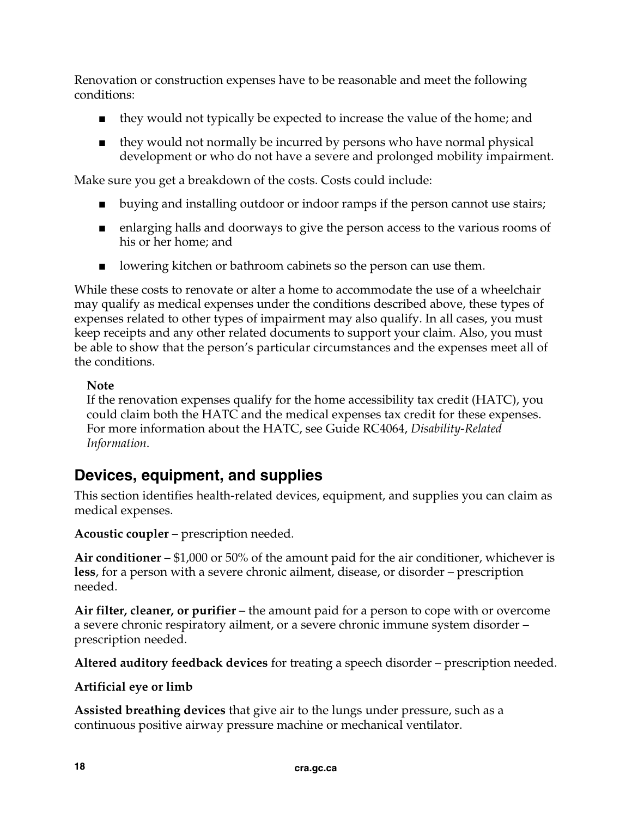Renovation or construction expenses have to be reasonable and meet the following conditions:

- they would not typically be expected to increase the value of the home; and
- they would not normally be incurred by persons who have normal physical development or who do not have a severe and prolonged mobility impairment.

Make sure you get a breakdown of the costs. Costs could include:

- buying and installing outdoor or indoor ramps if the person cannot use stairs;
- enlarging halls and doorways to give the person access to the various rooms of his or her home; and
- lowering kitchen or bathroom cabinets so the person can use them.

While these costs to renovate or alter a home to accommodate the use of a wheelchair may qualify as medical expenses under the conditions described above, these types of expenses related to other types of impairment may also qualify. In all cases, you must keep receipts and any other related documents to support your claim. Also, you must be able to show that the person's particular circumstances and the expenses meet all of the conditions.

#### **Note**

If the renovation expenses qualify for the home accessibility tax credit (HATC), you could claim both the HATC and the medical expenses tax credit for these expenses. For more information about the HATC, see Guide RC4064, *Disability-Related Information*.

## **Devices, equipment, and supplies**

This section identifies health-related devices, equipment, and supplies you can claim as medical expenses.

**Acoustic coupler** – prescription needed.

**Air conditioner** – \$1,000 or 50% of the amount paid for the air conditioner, whichever is **less**, for a person with a severe chronic ailment, disease, or disorder – prescription needed.

**Air filter, cleaner, or purifier** – the amount paid for a person to cope with or overcome a severe chronic respiratory ailment, or a severe chronic immune system disorder – prescription needed.

**Altered auditory feedback devices** for treating a speech disorder – prescription needed.

#### **Artificial eye or limb**

**Assisted breathing devices** that give air to the lungs under pressure, such as a continuous positive airway pressure machine or mechanical ventilator.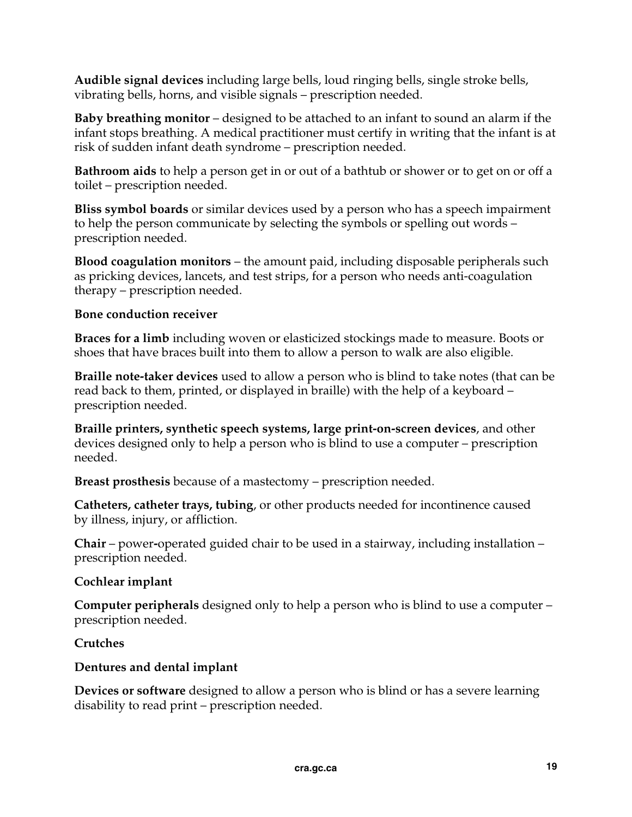**Audible signal devices** including large bells, loud ringing bells, single stroke bells, vibrating bells, horns, and visible signals – prescription needed.

**Baby breathing monitor** – designed to be attached to an infant to sound an alarm if the infant stops breathing. A medical practitioner must certify in writing that the infant is at risk of sudden infant death syndrome – prescription needed.

**Bathroom aids** to help a person get in or out of a bathtub or shower or to get on or off a toilet – prescription needed.

**Bliss symbol boards** or similar devices used by a person who has a speech impairment to help the person communicate by selecting the symbols or spelling out words – prescription needed.

**Blood coagulation monitors** – the amount paid, including disposable peripherals such as pricking devices, lancets, and test strips, for a person who needs anti-coagulation therapy – prescription needed.

#### **Bone conduction receiver**

**Braces for a limb** including woven or elasticized stockings made to measure. Boots or shoes that have braces built into them to allow a person to walk are also eligible.

**Braille note-taker devices** used to allow a person who is blind to take notes (that can be read back to them, printed, or displayed in braille) with the help of a keyboard – prescription needed.

**Braille printers, synthetic speech systems, large print-on-screen devices**, and other devices designed only to help a person who is blind to use a computer – prescription needed.

**Breast prosthesis** because of a mastectomy – prescription needed.

**Catheters, catheter trays, tubing**, or other products needed for incontinence caused by illness, injury, or affliction.

**Chair** – power**-**operated guided chair to be used in a stairway, including installation – prescription needed.

#### **Cochlear implant**

**Computer peripherals** designed only to help a person who is blind to use a computer – prescription needed.

#### **Crutches**

#### **Dentures and dental implant**

**Devices or software** designed to allow a person who is blind or has a severe learning disability to read print – prescription needed.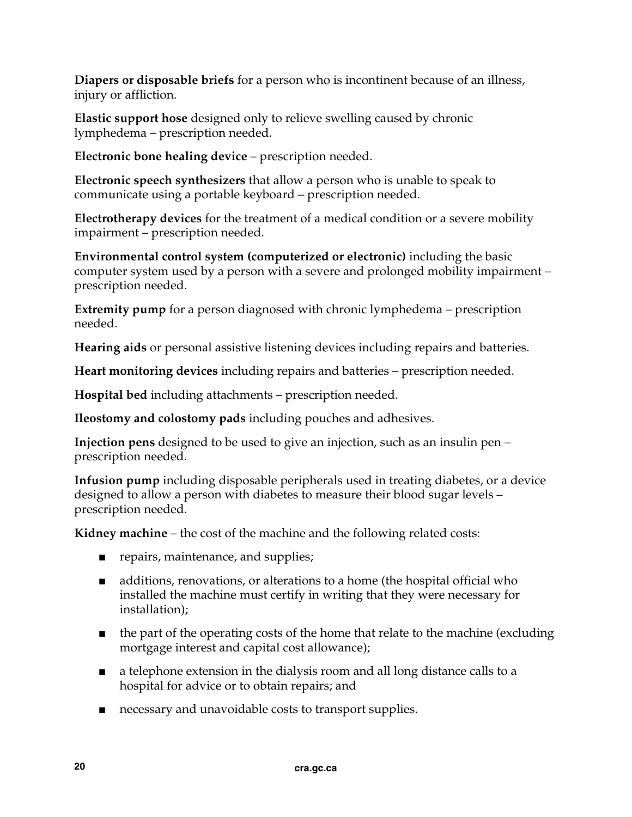**Diapers or disposable briefs** for a person who is incontinent because of an illness, injury or affliction.

**Elastic support hose** designed only to relieve swelling caused by chronic lymphedema – prescription needed.

**Electronic bone healing device** – prescription needed.

**Electronic speech synthesizers** that allow a person who is unable to speak to communicate using a portable keyboard – prescription needed.

**Electrotherapy devices** for the treatment of a medical condition or a severe mobility impairment – prescription needed.

**Environmental control system (computerized or electronic)** including the basic computer system used by a person with a severe and prolonged mobility impairment – prescription needed.

**Extremity pump** for a person diagnosed with chronic lymphedema – prescription needed.

**Hearing aids** or personal assistive listening devices including repairs and batteries.

**Heart monitoring devices** including repairs and batteries – prescription needed.

**Hospital bed** including attachments – prescription needed.

**Ileostomy and colostomy pads** including pouches and adhesives.

**Injection pens** designed to be used to give an injection, such as an insulin pen – prescription needed.

**Infusion pump** including disposable peripherals used in treating diabetes, or a device designed to allow a person with diabetes to measure their blood sugar levels – prescription needed.

**Kidney machine** – the cost of the machine and the following related costs:

- repairs, maintenance, and supplies;
- additions, renovations, or alterations to a home (the hospital official who installed the machine must certify in writing that they were necessary for installation);
- the part of the operating costs of the home that relate to the machine (excluding mortgage interest and capital cost allowance);
- a telephone extension in the dialysis room and all long distance calls to a hospital for advice or to obtain repairs; and
- necessary and unavoidable costs to transport supplies.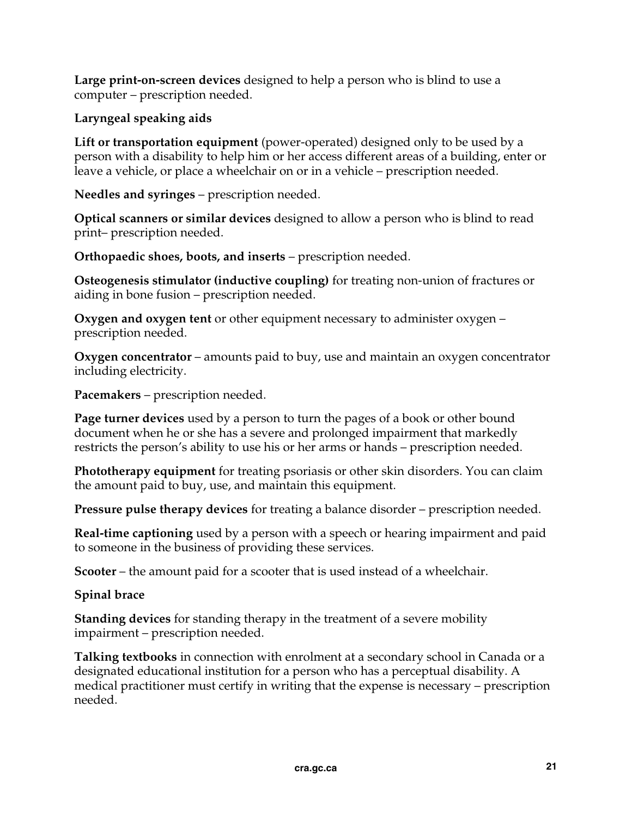**Large print-on-screen devices** designed to help a person who is blind to use a computer – prescription needed.

#### **Laryngeal speaking aids**

**Lift or transportation equipment** (power-operated) designed only to be used by a person with a disability to help him or her access different areas of a building, enter or leave a vehicle, or place a wheelchair on or in a vehicle – prescription needed.

**Needles and syringes** – prescription needed.

**Optical scanners or similar devices** designed to allow a person who is blind to read print– prescription needed.

**Orthopaedic shoes, boots, and inserts** – prescription needed.

**Osteogenesis stimulator (inductive coupling)** for treating non-union of fractures or aiding in bone fusion – prescription needed.

**Oxygen and oxygen tent** or other equipment necessary to administer oxygen – prescription needed.

**Oxygen concentrator** – amounts paid to buy, use and maintain an oxygen concentrator including electricity.

**Pacemakers** – prescription needed.

**Page turner devices** used by a person to turn the pages of a book or other bound document when he or she has a severe and prolonged impairment that markedly restricts the person's ability to use his or her arms or hands – prescription needed.

**Phototherapy equipment** for treating psoriasis or other skin disorders. You can claim the amount paid to buy, use, and maintain this equipment.

**Pressure pulse therapy devices** for treating a balance disorder – prescription needed.

**Real-time captioning** used by a person with a speech or hearing impairment and paid to someone in the business of providing these services.

**Scooter** – the amount paid for a scooter that is used instead of a wheelchair.

#### **Spinal brace**

**Standing devices** for standing therapy in the treatment of a severe mobility impairment – prescription needed.

**Talking textbooks** in connection with enrolment at a secondary school in Canada or a designated educational institution for a person who has a perceptual disability. A medical practitioner must certify in writing that the expense is necessary – prescription needed.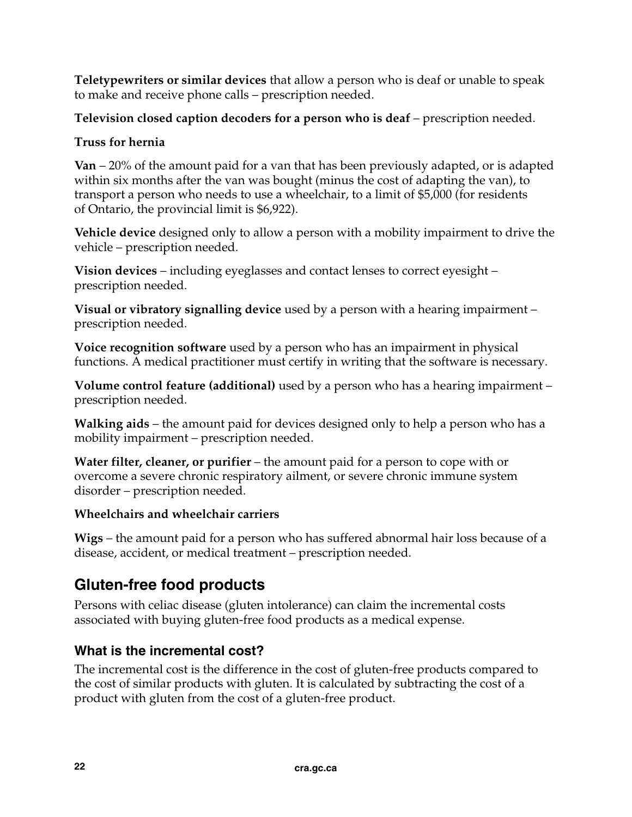**Teletypewriters or similar devices** that allow a person who is deaf or unable to speak to make and receive phone calls – prescription needed.

**Television closed caption decoders for a person who is deaf** – prescription needed.

#### **Truss for hernia**

**Van** – 20% of the amount paid for a van that has been previously adapted, or is adapted within six months after the van was bought (minus the cost of adapting the van), to transport a person who needs to use a wheelchair, to a limit of \$5,000 (for residents of Ontario, the provincial limit is \$6,922).

**Vehicle device** designed only to allow a person with a mobility impairment to drive the vehicle – prescription needed.

**Vision devices** – including eyeglasses and contact lenses to correct eyesight – prescription needed.

**Visual or vibratory signalling device** used by a person with a hearing impairment – prescription needed.

**Voice recognition software** used by a person who has an impairment in physical functions. A medical practitioner must certify in writing that the software is necessary.

**Volume control feature (additional)** used by a person who has a hearing impairment – prescription needed.

**Walking aids** – the amount paid for devices designed only to help a person who has a mobility impairment – prescription needed.

**Water filter, cleaner, or purifier** – the amount paid for a person to cope with or overcome a severe chronic respiratory ailment, or severe chronic immune system disorder – prescription needed.

#### **Wheelchairs and wheelchair carriers**

**Wigs** – the amount paid for a person who has suffered abnormal hair loss because of a disease, accident, or medical treatment – prescription needed.

## **Gluten-free food products**

Persons with celiac disease (gluten intolerance) can claim the incremental costs associated with buying gluten-free food products as a medical expense.

#### **What is the incremental cost?**

The incremental cost is the difference in the cost of gluten-free products compared to the cost of similar products with gluten. It is calculated by subtracting the cost of a product with gluten from the cost of a gluten-free product.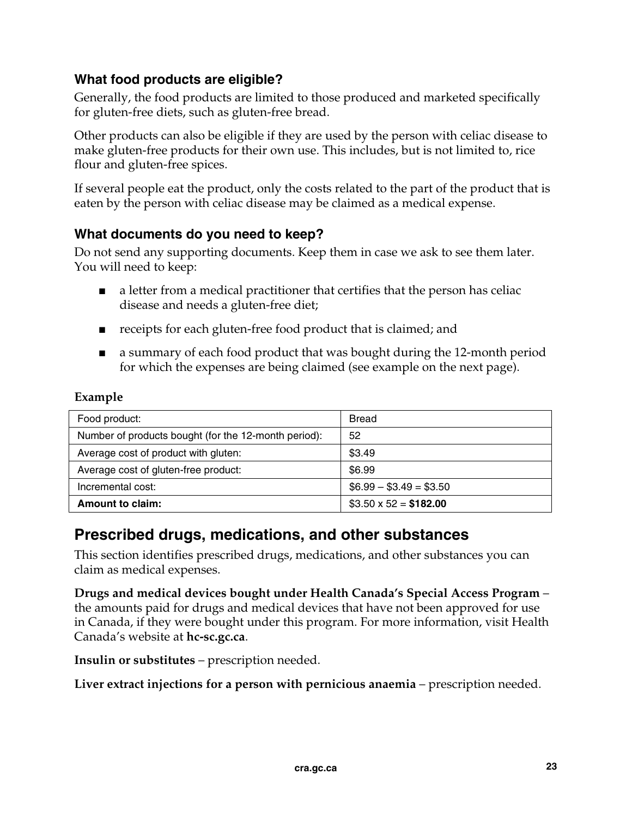#### **What food products are eligible?**

Generally, the food products are limited to those produced and marketed specifically for gluten-free diets, such as gluten-free bread.

Other products can also be eligible if they are used by the person with celiac disease to make gluten-free products for their own use. This includes, but is not limited to, rice flour and gluten-free spices.

If several people eat the product, only the costs related to the part of the product that is eaten by the person with celiac disease may be claimed as a medical expense.

#### **What documents do you need to keep?**

Do not send any supporting documents. Keep them in case we ask to see them later. You will need to keep:

- a letter from a medical practitioner that certifies that the person has celiac disease and needs a gluten-free diet;
- receipts for each gluten-free food product that is claimed; and
- a summary of each food product that was bought during the 12-month period for which the expenses are being claimed (see example on the next page).

#### **Example**

| Food product:                                        | <b>Bread</b>                |
|------------------------------------------------------|-----------------------------|
| Number of products bought (for the 12-month period): | 52                          |
| Average cost of product with gluten:                 | \$3.49                      |
| Average cost of gluten-free product:                 | \$6.99                      |
| Incremental cost:                                    | $$6.99 - $3.49 = $3.50$     |
| <b>Amount to claim:</b>                              | $$3.50 \times 52 = $182.00$ |

## **Prescribed drugs, medications, and other substances**

This section identifies prescribed drugs, medications, and other substances you can claim as medical expenses.

**Drugs and medical devices bought under Health Canada's Special Access Program** – the amounts paid for drugs and medical devices that have not been approved for use in Canada, if they were bought under this program. For more information, visit Health Canada's website at **hc-sc.gc.ca**.

**Insulin or substitutes** – prescription needed.

**Liver extract injections for a person with pernicious anaemia** – prescription needed.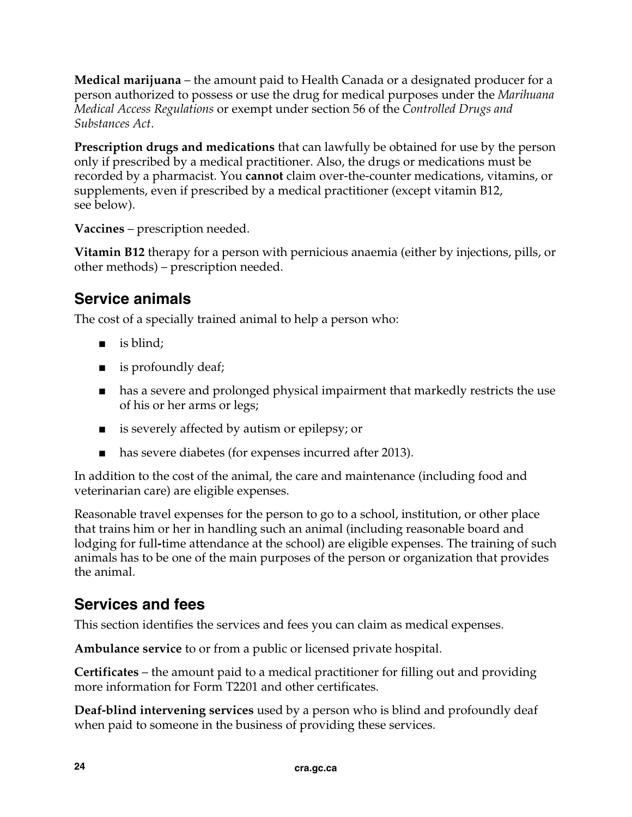**Medical marijuana** – the amount paid to Health Canada or a designated producer for a person authorized to possess or use the drug for medical purposes under the *Marihuana Medical Access Regulations* or exempt under section 56 of the *Controlled Drugs and Substances Act*.

**Prescription drugs and medications** that can lawfully be obtained for use by the person only if prescribed by a medical practitioner. Also, the drugs or medications must be recorded by a pharmacist. You **cannot** claim over-the-counter medications, vitamins, or supplements, even if prescribed by a medical practitioner (except vitamin B12, see below).

**Vaccines** – prescription needed.

**Vitamin B12** therapy for a person with pernicious anaemia (either by injections, pills, or other methods) – prescription needed.

## **Service animals**

The cost of a specially trained animal to help a person who:

- is blind;
- is profoundly deaf;
- has a severe and prolonged physical impairment that markedly restricts the use of his or her arms or legs;
- is severely affected by autism or epilepsy; or
- has severe diabetes (for expenses incurred after 2013).

In addition to the cost of the animal, the care and maintenance (including food and veterinarian care) are eligible expenses.

Reasonable travel expenses for the person to go to a school, institution, or other place that trains him or her in handling such an animal (including reasonable board and lodging for full**-**time attendance at the school) are eligible expenses. The training of such animals has to be one of the main purposes of the person or organization that provides the animal.

## **Services and fees**

This section identifies the services and fees you can claim as medical expenses.

**Ambulance service** to or from a public or licensed private hospital.

**Certificates** – the amount paid to a medical practitioner for filling out and providing more information for Form T2201 and other certificates.

**Deaf-blind intervening services** used by a person who is blind and profoundly deaf when paid to someone in the business of providing these services.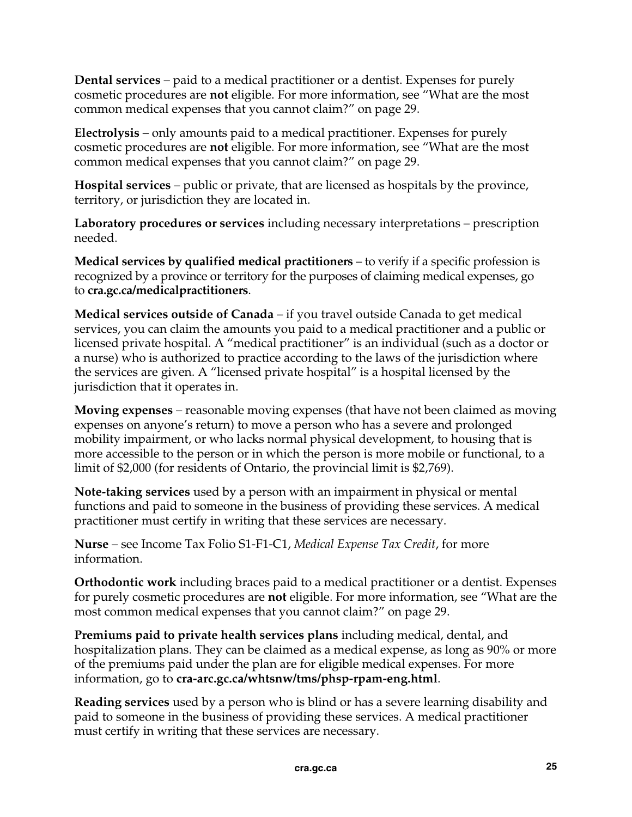**Dental services** – paid to a medical practitioner or a dentist. Expenses for purely cosmetic procedures are **not** eligible. For more information, see "What are the most common medical expenses that you cannot claim?" on page 29.

**Electrolysis** – only amounts paid to a medical practitioner. Expenses for purely cosmetic procedures are **not** eligible. For more information, see "What are the most common medical expenses that you cannot claim?" on page 29.

**Hospital services** – public or private, that are licensed as hospitals by the province, territory, or jurisdiction they are located in.

**Laboratory procedures or services** including necessary interpretations – prescription needed.

**Medical services by qualified medical practitioners** – to verify if a specific profession is recognized by a province or territory for the purposes of claiming medical expenses, go to **cra.gc.ca/medicalpractitioners**.

**Medical services outside of Canada** – if you travel outside Canada to get medical services, you can claim the amounts you paid to a medical practitioner and a public or licensed private hospital. A "medical practitioner" is an individual (such as a doctor or a nurse) who is authorized to practice according to the laws of the jurisdiction where the services are given. A "licensed private hospital" is a hospital licensed by the jurisdiction that it operates in.

**Moving expenses** – reasonable moving expenses (that have not been claimed as moving expenses on anyone's return) to move a person who has a severe and prolonged mobility impairment, or who lacks normal physical development, to housing that is more accessible to the person or in which the person is more mobile or functional, to a limit of \$2,000 (for residents of Ontario, the provincial limit is \$2,769).

**Note-taking services** used by a person with an impairment in physical or mental functions and paid to someone in the business of providing these services. A medical practitioner must certify in writing that these services are necessary.

**Nurse** – see Income Tax Folio S1-F1-C1, *Medical Expense Tax Credit*, for more information.

**Orthodontic work** including braces paid to a medical practitioner or a dentist. Expenses for purely cosmetic procedures are **not** eligible. For more information, see "What are the most common medical expenses that you cannot claim?" on page 29.

**Premiums paid to private health services plans** including medical, dental, and hospitalization plans. They can be claimed as a medical expense, as long as 90% or more of the premiums paid under the plan are for eligible medical expenses. For more information, go to **cra-arc.gc.ca/whtsnw/tms/phsp-rpam-eng.html**.

**Reading services** used by a person who is blind or has a severe learning disability and paid to someone in the business of providing these services. A medical practitioner must certify in writing that these services are necessary.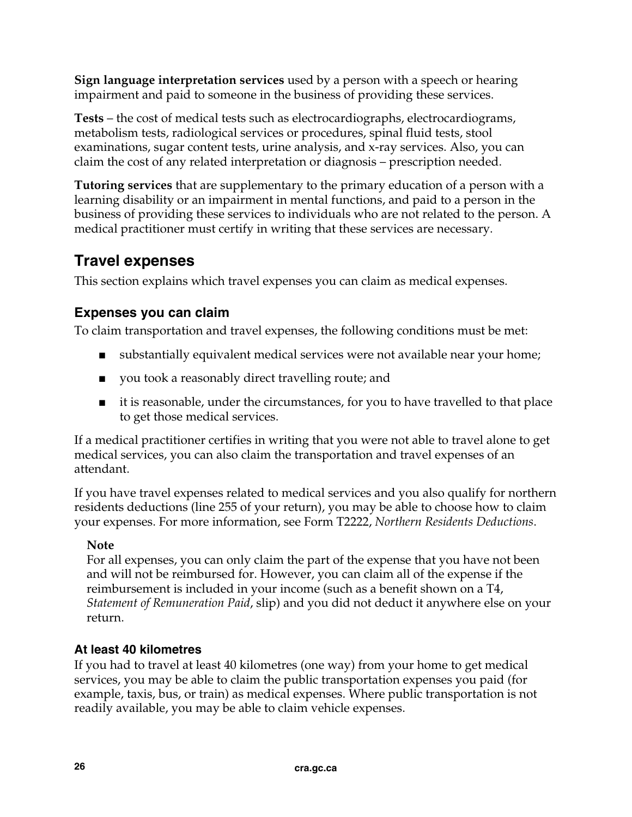**Sign language interpretation services** used by a person with a speech or hearing impairment and paid to someone in the business of providing these services.

**Tests** – the cost of medical tests such as electrocardiographs, electrocardiograms, metabolism tests, radiological services or procedures, spinal fluid tests, stool examinations, sugar content tests, urine analysis, and x-ray services. Also, you can claim the cost of any related interpretation or diagnosis – prescription needed.

**Tutoring services** that are supplementary to the primary education of a person with a learning disability or an impairment in mental functions, and paid to a person in the business of providing these services to individuals who are not related to the person. A medical practitioner must certify in writing that these services are necessary.

## **Travel expenses**

This section explains which travel expenses you can claim as medical expenses.

#### **Expenses you can claim**

To claim transportation and travel expenses, the following conditions must be met:

- substantially equivalent medical services were not available near your home;
- you took a reasonably direct travelling route; and
- it is reasonable, under the circumstances, for you to have travelled to that place to get those medical services.

If a medical practitioner certifies in writing that you were not able to travel alone to get medical services, you can also claim the transportation and travel expenses of an attendant.

If you have travel expenses related to medical services and you also qualify for northern residents deductions (line 255 of your return), you may be able to choose how to claim your expenses. For more information, see Form T2222, *Northern Residents Deductions*.

#### **Note**

For all expenses, you can only claim the part of the expense that you have not been and will not be reimbursed for. However, you can claim all of the expense if the reimbursement is included in your income (such as a benefit shown on a T4, *Statement of Remuneration Paid*, slip) and you did not deduct it anywhere else on your return.

#### **At least 40 kilometres**

If you had to travel at least 40 kilometres (one way) from your home to get medical services, you may be able to claim the public transportation expenses you paid (for example, taxis, bus, or train) as medical expenses. Where public transportation is not readily available, you may be able to claim vehicle expenses.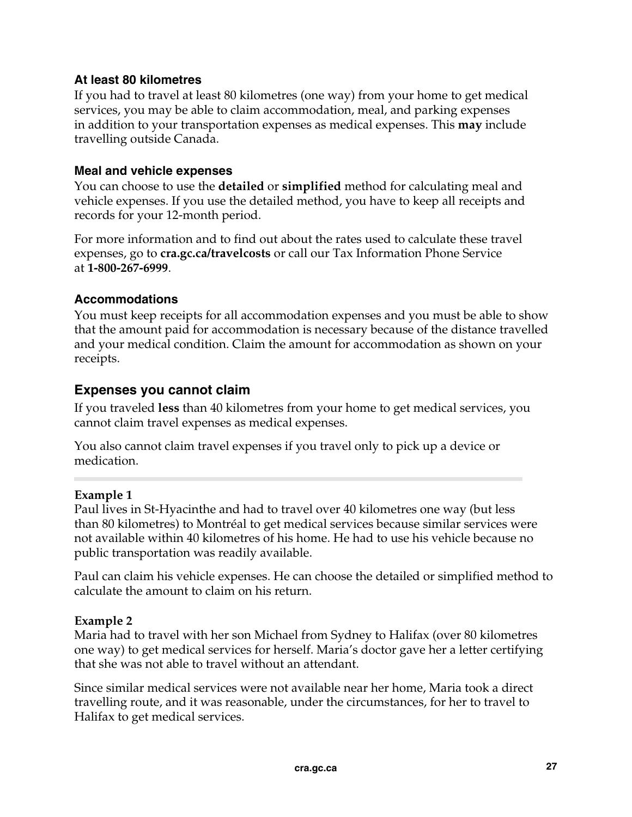#### **At least 80 kilometres**

If you had to travel at least 80 kilometres (one way) from your home to get medical services, you may be able to claim accommodation, meal, and parking expenses in addition to your transportation expenses as medical expenses. This **may** include travelling outside Canada.

#### **Meal and vehicle expenses**

You can choose to use the **detailed** or **simplified** method for calculating meal and vehicle expenses. If you use the detailed method, you have to keep all receipts and records for your 12-month period.

For more information and to find out about the rates used to calculate these travel expenses, go to **cra.gc.ca/travelcosts** or call our Tax Information Phone Service at **1-800-267-6999**.

#### **Accommodations**

You must keep receipts for all accommodation expenses and you must be able to show that the amount paid for accommodation is necessary because of the distance travelled and your medical condition. Claim the amount for accommodation as shown on your receipts.

#### **Expenses you cannot claim**

If you traveled **less** than 40 kilometres from your home to get medical services, you cannot claim travel expenses as medical expenses.

You also cannot claim travel expenses if you travel only to pick up a device or medication.

#### **Example 1**

Paul lives in St-Hyacinthe and had to travel over 40 kilometres one way (but less than 80 kilometres) to Montréal to get medical services because similar services were not available within 40 kilometres of his home. He had to use his vehicle because no public transportation was readily available.

Paul can claim his vehicle expenses. He can choose the detailed or simplified method to calculate the amount to claim on his return.

#### **Example 2**

Maria had to travel with her son Michael from Sydney to Halifax (over 80 kilometres one way) to get medical services for herself. Maria's doctor gave her a letter certifying that she was not able to travel without an attendant.

Since similar medical services were not available near her home, Maria took a direct travelling route, and it was reasonable, under the circumstances, for her to travel to Halifax to get medical services.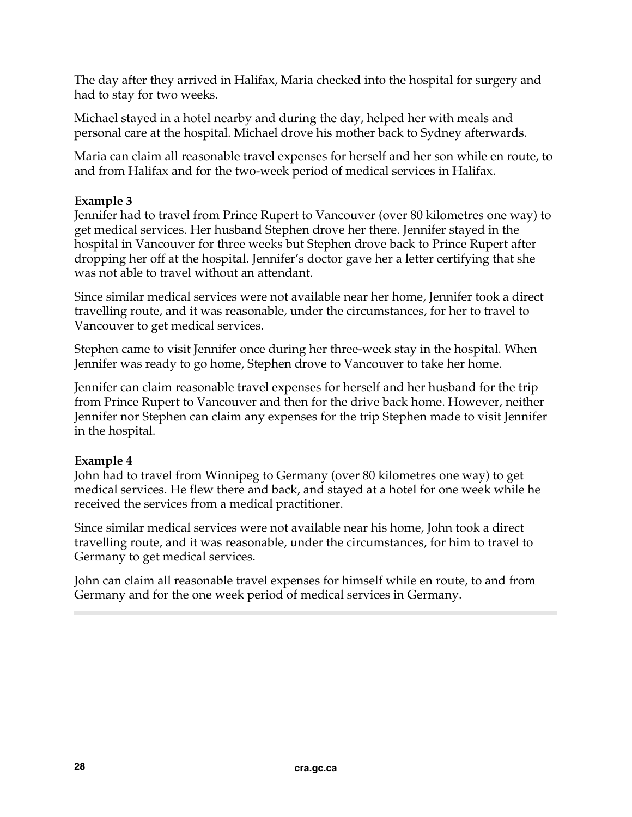The day after they arrived in Halifax, Maria checked into the hospital for surgery and had to stay for two weeks.

Michael stayed in a hotel nearby and during the day, helped her with meals and personal care at the hospital. Michael drove his mother back to Sydney afterwards.

Maria can claim all reasonable travel expenses for herself and her son while en route, to and from Halifax and for the two-week period of medical services in Halifax.

#### **Example 3**

Jennifer had to travel from Prince Rupert to Vancouver (over 80 kilometres one way) to get medical services. Her husband Stephen drove her there. Jennifer stayed in the hospital in Vancouver for three weeks but Stephen drove back to Prince Rupert after dropping her off at the hospital. Jennifer's doctor gave her a letter certifying that she was not able to travel without an attendant.

Since similar medical services were not available near her home, Jennifer took a direct travelling route, and it was reasonable, under the circumstances, for her to travel to Vancouver to get medical services.

Stephen came to visit Jennifer once during her three-week stay in the hospital. When Jennifer was ready to go home, Stephen drove to Vancouver to take her home.

Jennifer can claim reasonable travel expenses for herself and her husband for the trip from Prince Rupert to Vancouver and then for the drive back home. However, neither Jennifer nor Stephen can claim any expenses for the trip Stephen made to visit Jennifer in the hospital.

#### **Example 4**

John had to travel from Winnipeg to Germany (over 80 kilometres one way) to get medical services. He flew there and back, and stayed at a hotel for one week while he received the services from a medical practitioner.

Since similar medical services were not available near his home, John took a direct travelling route, and it was reasonable, under the circumstances, for him to travel to Germany to get medical services.

John can claim all reasonable travel expenses for himself while en route, to and from Germany and for the one week period of medical services in Germany.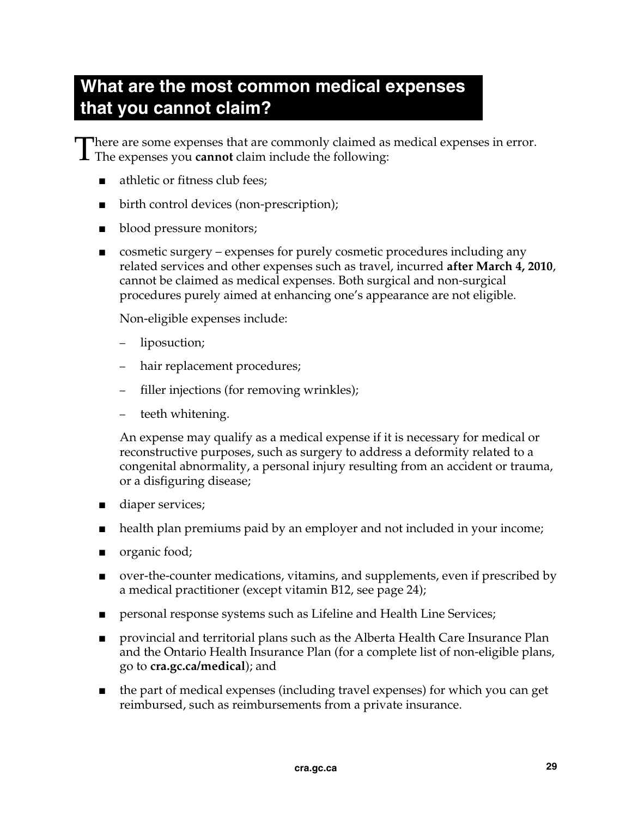## **What are the most common medical expenses that you cannot claim?**

here are some expenses that are commonly claimed as medical expenses in error. There are some expenses that are commonly claimed as The expenses you **cannot** claim include the following:

- athletic or fitness club fees;
- birth control devices (non-prescription);
- blood pressure monitors;
- cosmetic surgery expenses for purely cosmetic procedures including any related services and other expenses such as travel, incurred **after March 4, 2010**, cannot be claimed as medical expenses. Both surgical and non-surgical procedures purely aimed at enhancing one's appearance are not eligible.

Non-eligible expenses include:

- liposuction;
- hair replacement procedures;
- filler injections (for removing wrinkles);
- teeth whitening.

An expense may qualify as a medical expense if it is necessary for medical or reconstructive purposes, such as surgery to address a deformity related to a congenital abnormality, a personal injury resulting from an accident or trauma, or a disfiguring disease;

- diaper services;
- health plan premiums paid by an employer and not included in your income;
- organic food;
- over-the-counter medications, vitamins, and supplements, even if prescribed by a medical practitioner (except vitamin B12, see page 24);
- personal response systems such as Lifeline and Health Line Services;
- provincial and territorial plans such as the Alberta Health Care Insurance Plan and the Ontario Health Insurance Plan (for a complete list of non-eligible plans, go to **cra.gc.ca/medical**); and
- the part of medical expenses (including travel expenses) for which you can get reimbursed, such as reimbursements from a private insurance.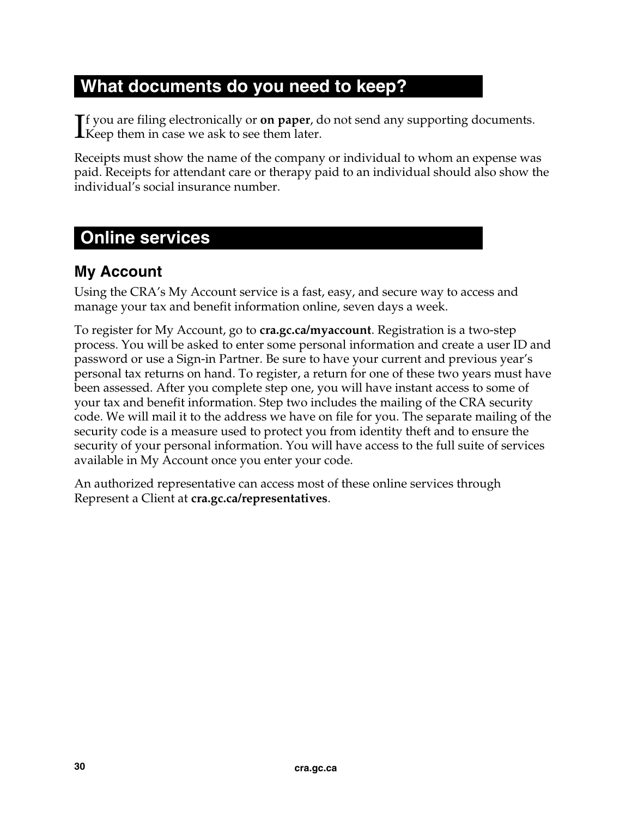## **What documents do you need to keep?**

f you are filing electronically or **on paper**, do not send any supporting documents.  $\prod$ f you are filing electronically or **on paper**, denote the set them later.

Receipts must show the name of the company or individual to whom an expense was paid. Receipts for attendant care or therapy paid to an individual should also show the individual's social insurance number.

## **Online services**

## **My Account**

Using the CRA's My Account service is a fast, easy, and secure way to access and manage your tax and benefit information online, seven days a week.

To register for My Account, go to **cra.gc.ca/myaccount**. Registration is a two-step process. You will be asked to enter some personal information and create a user ID and password or use a Sign-in Partner. Be sure to have your current and previous year's personal tax returns on hand. To register, a return for one of these two years must have been assessed. After you complete step one, you will have instant access to some of your tax and benefit information. Step two includes the mailing of the CRA security code. We will mail it to the address we have on file for you. The separate mailing of the security code is a measure used to protect you from identity theft and to ensure the security of your personal information. You will have access to the full suite of services available in My Account once you enter your code.

An authorized representative can access most of these online services through Represent a Client at **cra.gc.ca/representatives**.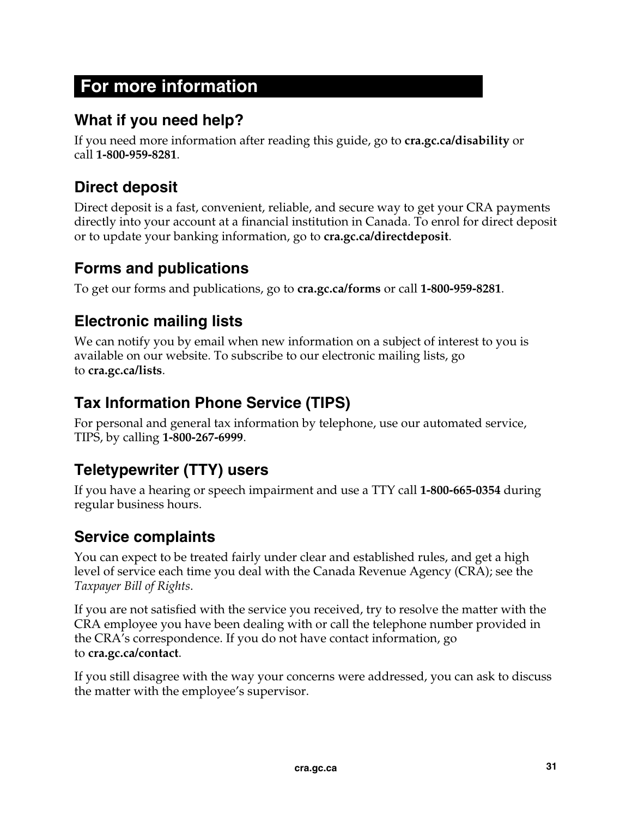## **For more information**

## **What if you need help?**

If you need more information after reading this guide, go to **cra.gc.ca/disability** or call **1-800-959-8281**.

## **Direct deposit**

Direct deposit is a fast, convenient, reliable, and secure way to get your CRA payments directly into your account at a financial institution in Canada. To enrol for direct deposit or to update your banking information, go to **cra.gc.ca/directdeposit**.

## **Forms and publications**

To get our forms and publications, go to **cra.gc.ca/forms** or call **1-800-959-8281**.

## **Electronic mailing lists**

We can notify you by email when new information on a subject of interest to you is available on our website. To subscribe to our electronic mailing lists, go to **cra.gc.ca/lists**.

## **Tax Information Phone Service (TIPS)**

For personal and general tax information by telephone, use our automated service, TIPS, by calling **1-800-267-6999**.

## **Teletypewriter (TTY) users**

If you have a hearing or speech impairment and use a TTY call **1-800-665-0354** during regular business hours.

## **Service complaints**

You can expect to be treated fairly under clear and established rules, and get a high level of service each time you deal with the Canada Revenue Agency (CRA); see the *Taxpayer Bill of Rights*.

If you are not satisfied with the service you received, try to resolve the matter with the CRA employee you have been dealing with or call the telephone number provided in the CRA's correspondence. If you do not have contact information, go to **cra.gc.ca/contact**.

If you still disagree with the way your concerns were addressed, you can ask to discuss the matter with the employee's supervisor.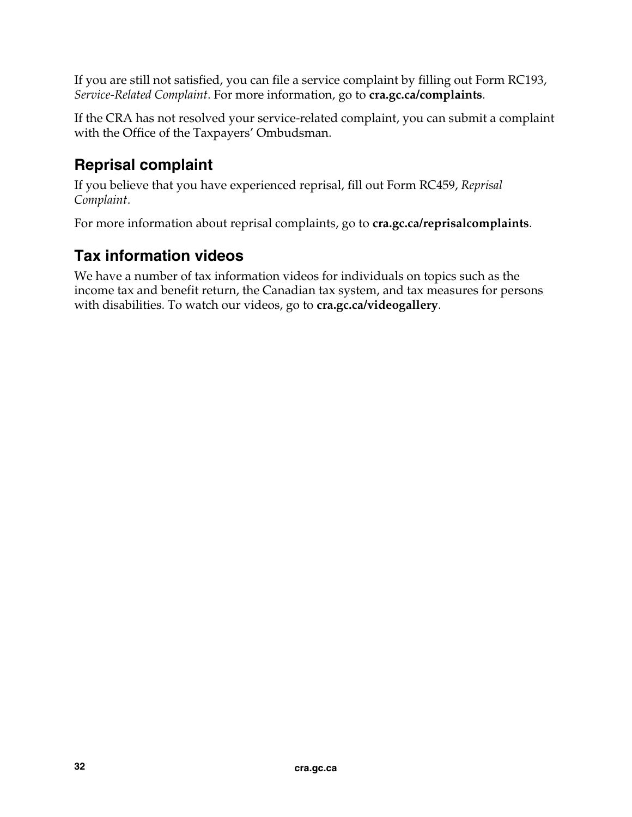If you are still not satisfied, you can file a service complaint by filling out Form RC193, *Service-Related Complaint*. For more information, go to **cra.gc.ca/complaints**.

If the CRA has not resolved your service-related complaint, you can submit a complaint with the Office of the Taxpayers' Ombudsman.

## **Reprisal complaint**

If you believe that you have experienced reprisal, fill out Form RC459, *Reprisal Complaint*.

For more information about reprisal complaints, go to **cra.gc.ca/reprisalcomplaints**.

## **Tax information videos**

We have a number of tax information videos for individuals on topics such as the income tax and benefit return, the Canadian tax system, and tax measures for persons with disabilities. To watch our videos, go to **cra.gc.ca/videogallery**.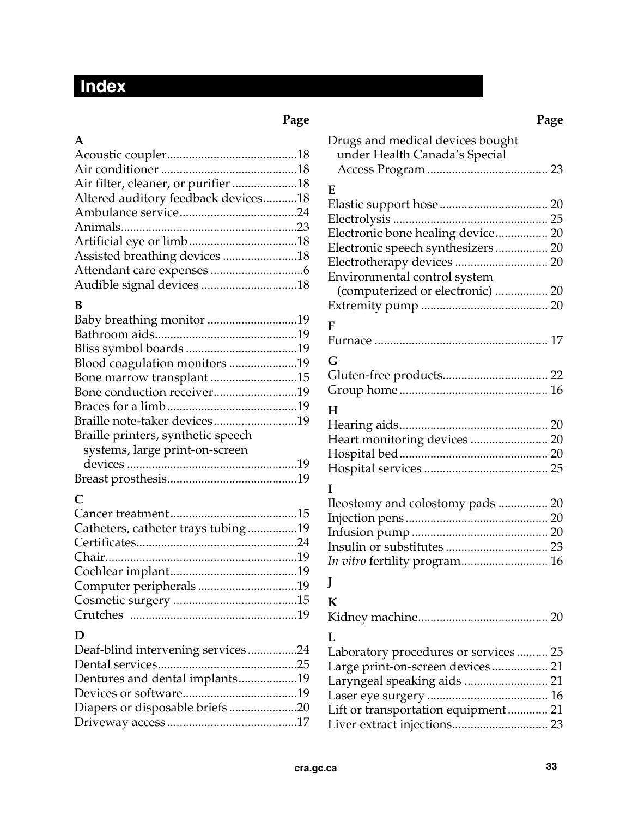## **Index**

#### **A**

| Altered auditory feedback devices18 |  |
|-------------------------------------|--|
|                                     |  |
|                                     |  |
|                                     |  |
| Assisted breathing devices 18       |  |
|                                     |  |
| Audible signal devices 18           |  |

#### **B**

| Blood coagulation monitors 19      |  |
|------------------------------------|--|
| Bone marrow transplant 15          |  |
| Bone conduction receiver19         |  |
|                                    |  |
|                                    |  |
| Braille printers, synthetic speech |  |
| systems, large print-on-screen     |  |
|                                    |  |
|                                    |  |
|                                    |  |

#### **C**

| Catheters, catheter trays tubing19 |  |
|------------------------------------|--|
|                                    |  |
|                                    |  |
|                                    |  |
| Computer peripherals19             |  |
|                                    |  |
|                                    |  |

#### **D**

| Deaf-blind intervening services24 |  |
|-----------------------------------|--|
|                                   |  |
| Dentures and dental implants19    |  |
|                                   |  |
|                                   |  |
|                                   |  |

| Page                                | Page                                  |
|-------------------------------------|---------------------------------------|
| Α                                   | Drugs and medical devices bought      |
|                                     | under Health Canada's Special         |
|                                     |                                       |
| Air filter, cleaner, or purifier 18 | E                                     |
| Altered auditory feedback devices18 |                                       |
|                                     |                                       |
|                                     |                                       |
|                                     | Electronic bone healing device 20     |
| Assisted breathing devices 18       | Electronic speech synthesizers 20     |
|                                     |                                       |
| Audible signal devices 18           | Environmental control system          |
|                                     | (computerized or electronic)  20      |
| B                                   |                                       |
| Baby breathing monitor 19           | F                                     |
|                                     |                                       |
|                                     | G                                     |
| Blood coagulation monitors 19       |                                       |
| Bone marrow transplant 15           |                                       |
| Bone conduction receiver19          |                                       |
|                                     | $H_{\rm}$                             |
| Braille note-taker devices19        |                                       |
| Braille printers, synthetic speech  | Heart monitoring devices  20          |
| systems, large print-on-screen      |                                       |
|                                     |                                       |
|                                     | п                                     |
| C                                   |                                       |
|                                     | Ileostomy and colostomy pads  20      |
| Catheters, catheter trays tubing 19 |                                       |
|                                     |                                       |
|                                     |                                       |
|                                     | In vitro fertility program 16         |
| Computer peripherals 19             |                                       |
|                                     | K                                     |
|                                     |                                       |
|                                     |                                       |
| D                                   | L                                     |
| Deaf-blind intervening services24   | Laboratory procedures or services  25 |
|                                     | Large print-on-screen devices 21      |
| Dentures and dental implants19      | Laryngeal speaking aids  21           |